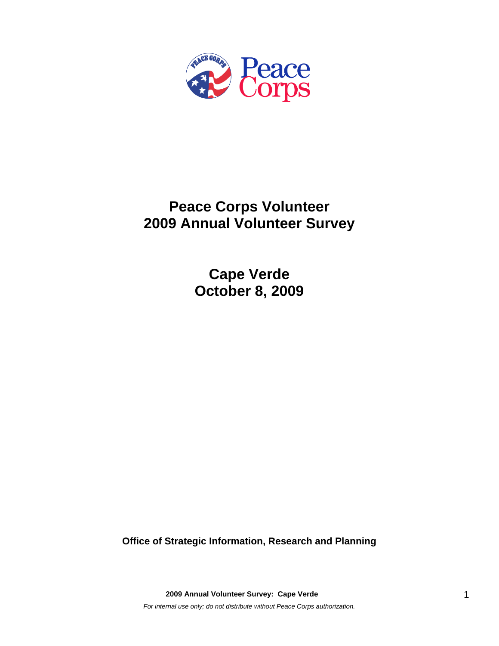

# **Peace Corps Volunteer 2009 Annual Volunteer Survey**

**Cape Verde October 8, 2009** 

**Office of Strategic Information, Research and Planning**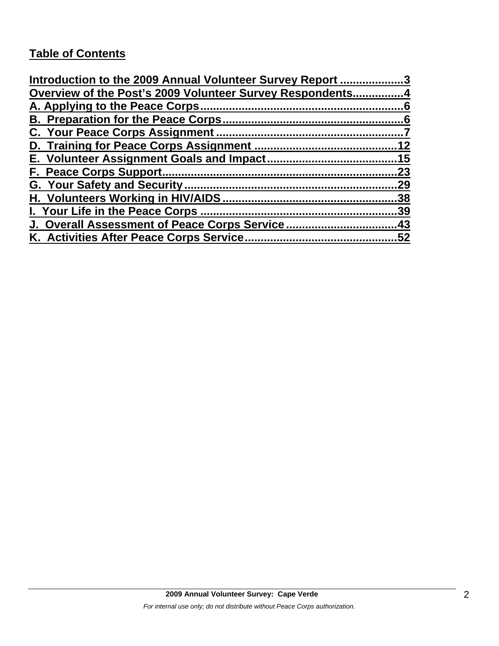# **Table of Contents**

| Introduction to the 2009 Annual Volunteer Survey Report 3 |     |
|-----------------------------------------------------------|-----|
| Overview of the Post's 2009 Volunteer Survey Respondents4 |     |
|                                                           |     |
|                                                           |     |
|                                                           |     |
|                                                           |     |
|                                                           |     |
|                                                           | 23  |
|                                                           | 29  |
|                                                           | .38 |
| I. Your Life in the Peace Corps.                          | .39 |
|                                                           | .43 |
| K. Activities After Peace Corps Service                   | 52  |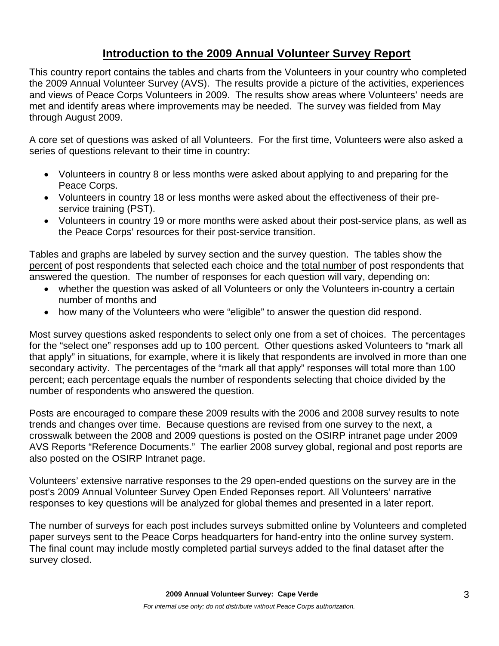# **Introduction to the 2009 Annual Volunteer Survey Report**

This country report contains the tables and charts from the Volunteers in your country who completed the 2009 Annual Volunteer Survey (AVS). The results provide a picture of the activities, experiences and views of Peace Corps Volunteers in 2009. The results show areas where Volunteers' needs are met and identify areas where improvements may be needed. The survey was fielded from May through August 2009.

A core set of questions was asked of all Volunteers. For the first time, Volunteers were also asked a series of questions relevant to their time in country:

- Volunteers in country 8 or less months were asked about applying to and preparing for the Peace Corps.
- Volunteers in country 18 or less months were asked about the effectiveness of their preservice training (PST).
- Volunteers in country 19 or more months were asked about their post-service plans, as well as the Peace Corps' resources for their post-service transition.

Tables and graphs are labeled by survey section and the survey question. The tables show the percent of post respondents that selected each choice and the total number of post respondents that answered the question. The number of responses for each question will vary, depending on:

- whether the question was asked of all Volunteers or only the Volunteers in-country a certain number of months and
- how many of the Volunteers who were "eligible" to answer the question did respond.

Most survey questions asked respondents to select only one from a set of choices. The percentages for the "select one" responses add up to 100 percent. Other questions asked Volunteers to "mark all that apply" in situations, for example, where it is likely that respondents are involved in more than one secondary activity. The percentages of the "mark all that apply" responses will total more than 100 percent; each percentage equals the number of respondents selecting that choice divided by the number of respondents who answered the question.

Posts are encouraged to compare these 2009 results with the 2006 and 2008 survey results to note trends and changes over time. Because questions are revised from one survey to the next, a crosswalk between the 2008 and 2009 questions is posted on the OSIRP intranet page under 2009 AVS Reports "Reference Documents." The earlier 2008 survey global, regional and post reports are also posted on the OSIRP Intranet page.

Volunteers' extensive narrative responses to the 29 open-ended questions on the survey are in the post's 2009 Annual Volunteer Survey Open Ended Reponses report. All Volunteers' narrative responses to key questions will be analyzed for global themes and presented in a later report.

The number of surveys for each post includes surveys submitted online by Volunteers and completed paper surveys sent to the Peace Corps headquarters for hand-entry into the online survey system. The final count may include mostly completed partial surveys added to the final dataset after the survey closed.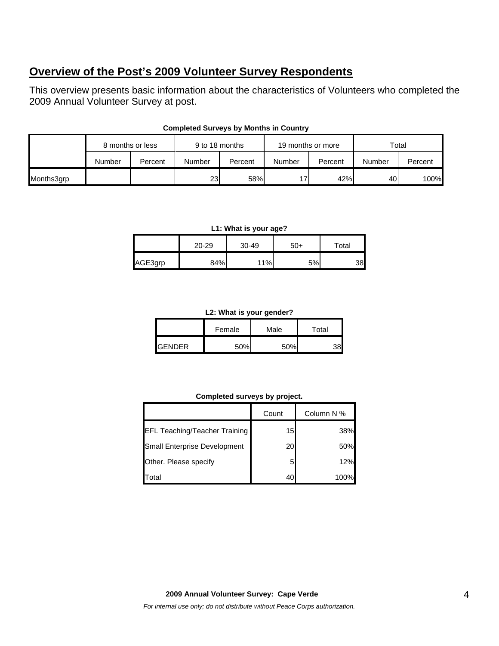# **Overview of the Post's 2009 Volunteer Survey Respondents**

This overview presents basic information about the characteristics of Volunteers who completed the 2009 Annual Volunteer Survey at post.

|            |        | 8 months or less | 9 to 18 months |         | 19 months or more |         | Total           |         |
|------------|--------|------------------|----------------|---------|-------------------|---------|-----------------|---------|
|            | Number | Percent          | Number         | Percent | Number            | Percent | Number          | Percent |
| Months3grp |        |                  | <b>23</b>      | 58%     | 17                | 42%     | 40 <sup>I</sup> | 100%    |

### **Completed Surveys by Months in Country**

#### **L1: What is your age?**

|         | 20-29 | 30-49 | $50+$ | Total |
|---------|-------|-------|-------|-------|
| AGE3grp | 84%   | 11%   | 5%    | 38    |

#### **L2: What is your gender?**

|                | Female | Male | Total |  |
|----------------|--------|------|-------|--|
| <b>IGENDER</b> | 50%    | 50%  |       |  |

### **Completed surveys by project.**

|                                      | Count | Column N % |
|--------------------------------------|-------|------------|
| <b>EFL Teaching/Teacher Training</b> | 15    | 38%        |
| Small Enterprise Development         | 20    | 50%        |
| Other. Please specify                | 5     | 12%        |
| Total                                |       |            |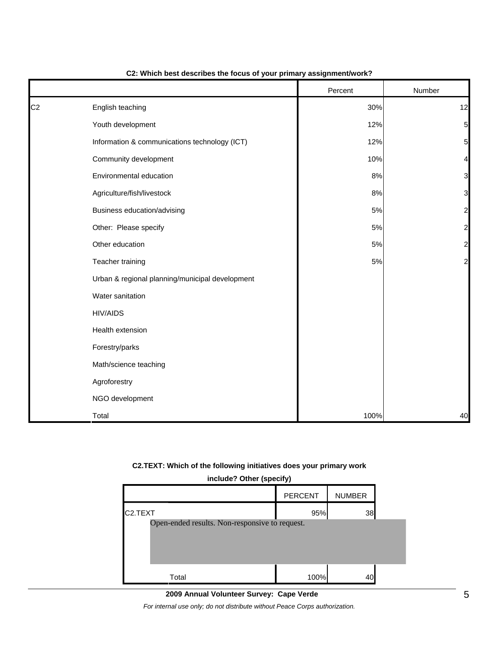|                |                                                 | Percent | Number                  |
|----------------|-------------------------------------------------|---------|-------------------------|
| C <sub>2</sub> | English teaching                                | 30%     | 12                      |
|                | Youth development                               | 12%     | 5                       |
|                | Information & communications technology (ICT)   | 12%     | 5                       |
|                | Community development                           | 10%     | 4                       |
|                | Environmental education                         | 8%      | 3                       |
|                | Agriculture/fish/livestock                      | 8%      | 3                       |
|                | Business education/advising                     | 5%      | $\overline{\mathbf{c}}$ |
|                | Other: Please specify                           | 5%      | $\overline{c}$          |
|                | Other education                                 | 5%      | $\overline{\mathbf{c}}$ |
|                | Teacher training                                | 5%      | $\overline{\mathbf{c}}$ |
|                | Urban & regional planning/municipal development |         |                         |
|                | Water sanitation                                |         |                         |
|                | <b>HIV/AIDS</b>                                 |         |                         |
|                | Health extension                                |         |                         |
|                | Forestry/parks                                  |         |                         |
|                | Math/science teaching                           |         |                         |
|                | Agroforestry                                    |         |                         |
|                | NGO development                                 |         |                         |
|                | Total                                           | 100%    | 40                      |

### **C2: Which best describes the focus of your primary assignment/work?**

### **C2.TEXT: Which of the following initiatives does your primary work**

| include? Other (specify)                       |                |               |  |  |  |  |
|------------------------------------------------|----------------|---------------|--|--|--|--|
|                                                | <b>PERCENT</b> | <b>NUMBER</b> |  |  |  |  |
| C <sub>2</sub> .TEXT                           | 95%            | 38            |  |  |  |  |
| Open-ended results. Non-responsive to request. |                |               |  |  |  |  |
| Total                                          | 100%           |               |  |  |  |  |

# **2009 Annual Volunteer Survey: Cape Verde**

*For internal use only; do not distribute without Peace Corps authorization.*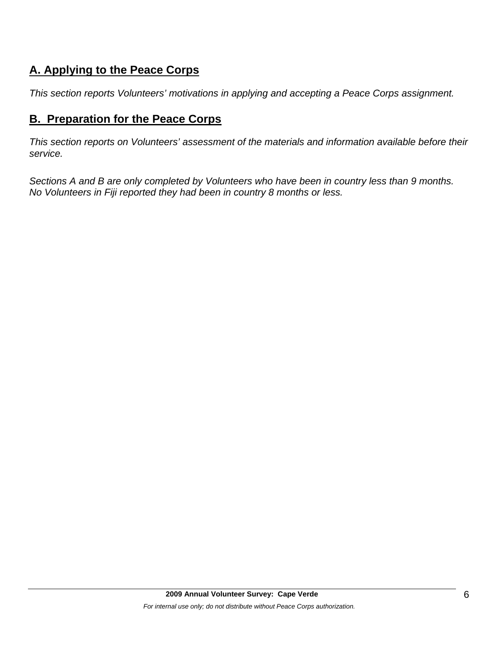# **A. Applying to the Peace Corps**

*This section reports Volunteers' motivations in applying and accepting a Peace Corps assignment.* 

# **B. Preparation for the Peace Corps**

*This section reports on Volunteers' assessment of the materials and information available before their service.* 

*Sections A and B are only completed by Volunteers who have been in country less than 9 months. No Volunteers in Fiji reported they had been in country 8 months or less.*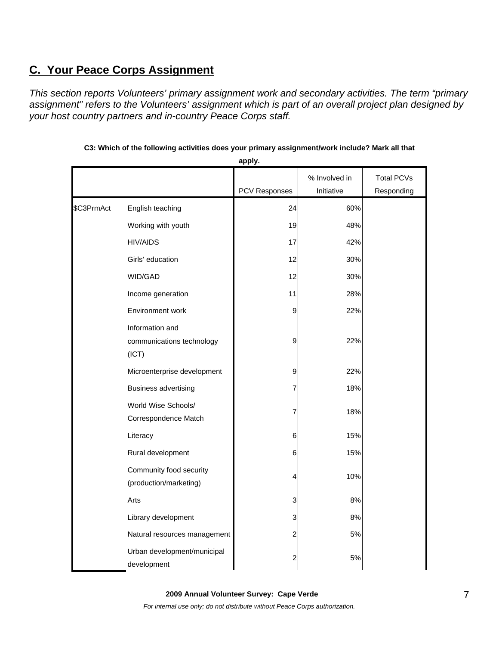# **C. Your Peace Corps Assignment**

*This section reports Volunteers' primary assignment work and secondary activities. The term "primary assignment" refers to the Volunteers' assignment which is part of an overall project plan designed by your host country partners and in-country Peace Corps staff.* 

|            |                                                       |                  | % Involved in | <b>Total PCVs</b> |
|------------|-------------------------------------------------------|------------------|---------------|-------------------|
|            |                                                       | PCV Responses    | Initiative    | Responding        |
| \$C3PrmAct | English teaching                                      | 24               | 60%           |                   |
|            | Working with youth                                    | 19               | 48%           |                   |
|            | <b>HIV/AIDS</b>                                       | 17               | 42%           |                   |
|            | Girls' education                                      | 12               | 30%           |                   |
|            | WID/GAD                                               | 12               | 30%           |                   |
|            | Income generation                                     | 11               | 28%           |                   |
|            | Environment work                                      | 9                | 22%           |                   |
|            | Information and<br>communications technology<br>(ICT) | 9                | 22%           |                   |
|            | Microenterprise development                           | 9                | 22%           |                   |
|            | <b>Business advertising</b>                           | 7                | 18%           |                   |
|            | World Wise Schools/<br>Correspondence Match           | 7                | 18%           |                   |
|            | Literacy                                              | 6                | 15%           |                   |
|            | Rural development                                     | 6                | 15%           |                   |
|            | Community food security<br>(production/marketing)     | 4                | 10%           |                   |
|            | Arts                                                  | 3                | 8%            |                   |
|            | Library development                                   | 3                | 8%            |                   |
|            | Natural resources management                          | $\boldsymbol{2}$ | 5%            |                   |
|            | Urban development/municipal<br>development            | 2                | 5%            |                   |

**C3: Which of the following activities does your primary assignment/work include? Mark all that** 

**apply.**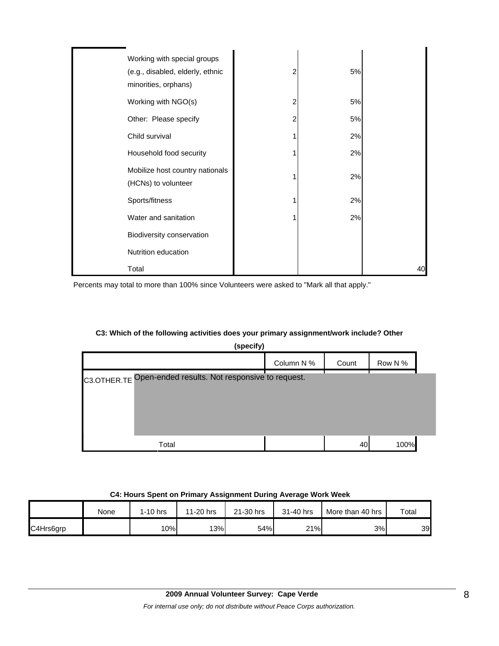| Working with special groups<br>(e.g., disabled, elderly, ethnic<br>minorities, orphans) | 2 | 5% |    |
|-----------------------------------------------------------------------------------------|---|----|----|
| Working with NGO(s)                                                                     | 2 | 5% |    |
| Other: Please specify                                                                   | 2 | 5% |    |
| Child survival                                                                          |   | 2% |    |
| Household food security                                                                 |   | 2% |    |
| Mobilize host country nationals<br>(HCNs) to volunteer                                  |   | 2% |    |
| Sports/fitness                                                                          |   | 2% |    |
| Water and sanitation                                                                    |   | 2% |    |
| Biodiversity conservation                                                               |   |    |    |
| Nutrition education                                                                     |   |    |    |
| Total                                                                                   |   |    | 40 |

Percents may total to more than 100% since Volunteers were asked to "Mark all that apply."

### **C3: Which of the following activities does your primary assignment/work include? Other**

| (specify)                                                  |            |       |         |  |  |  |
|------------------------------------------------------------|------------|-------|---------|--|--|--|
|                                                            | Column N % | Count | Row N % |  |  |  |
| C3.OTHER.TE Open-ended results. Not responsive to request. |            |       |         |  |  |  |
| Total                                                      |            | 40    | 100%    |  |  |  |

### **C4: Hours Spent on Primary Assignment During Average Work Week**

|           | None | 1-10 hrs | 11-20 hrs | 21-30 hrs | 31-40 hrs | More than 40 hrs | Total |
|-----------|------|----------|-----------|-----------|-----------|------------------|-------|
| C4Hrs6grp |      | 10%      | 13%       | 54%       | 21%       | 3%               | 39    |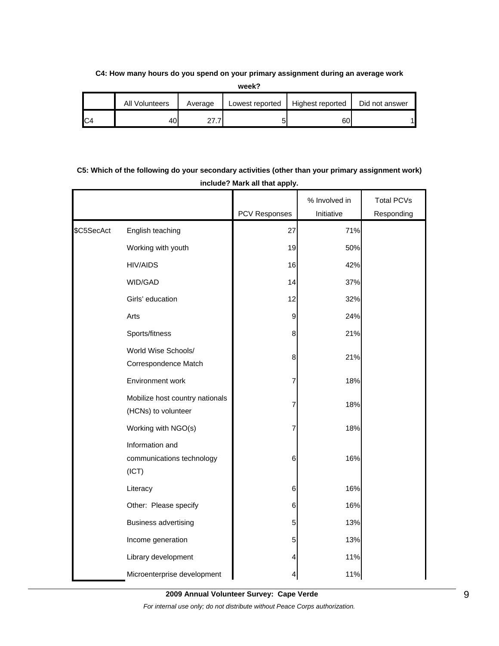### **C4: How many hours do you spend on your primary assignment during an average work**

**week?**

| All<br>Volunteers | Average  | Lowest reported | Highest reported | Did not answer |
|-------------------|----------|-----------------|------------------|----------------|
| 40                | <u>.</u> |                 | 60               |                |

# **C5: Which of the following do your secondary activities (other than your primary assignment work) include? Mark all that apply.**

|            |                                                        | <b>PCV Responses</b> | % Involved in<br>Initiative | <b>Total PCVs</b><br>Responding |
|------------|--------------------------------------------------------|----------------------|-----------------------------|---------------------------------|
| \$C5SecAct | English teaching                                       | 27                   | 71%                         |                                 |
|            | Working with youth                                     | 19                   | 50%                         |                                 |
|            | <b>HIV/AIDS</b>                                        | 16                   | 42%                         |                                 |
|            | WID/GAD                                                | 14                   | 37%                         |                                 |
|            | Girls' education                                       | 12                   | 32%                         |                                 |
|            | Arts                                                   | $\boldsymbol{9}$     | 24%                         |                                 |
|            | Sports/fitness                                         | 8                    | 21%                         |                                 |
|            | World Wise Schools/<br>Correspondence Match            | 8                    | 21%                         |                                 |
|            | Environment work                                       | 7                    | 18%                         |                                 |
|            | Mobilize host country nationals<br>(HCNs) to volunteer | 7                    | 18%                         |                                 |
|            | Working with NGO(s)                                    | 7                    | 18%                         |                                 |
|            | Information and<br>communications technology<br>(ICT)  | 6                    | 16%                         |                                 |
|            | Literacy                                               | 6                    | 16%                         |                                 |
|            | Other: Please specify                                  | 6                    | 16%                         |                                 |
|            | <b>Business advertising</b>                            | 5                    | 13%                         |                                 |
|            | Income generation                                      | 5                    | 13%                         |                                 |
|            | Library development                                    | 4                    | 11%                         |                                 |
|            | Microenterprise development                            |                      | 11%                         |                                 |

**2009 Annual Volunteer Survey: Cape Verde** 

*For internal use only; do not distribute without Peace Corps authorization.*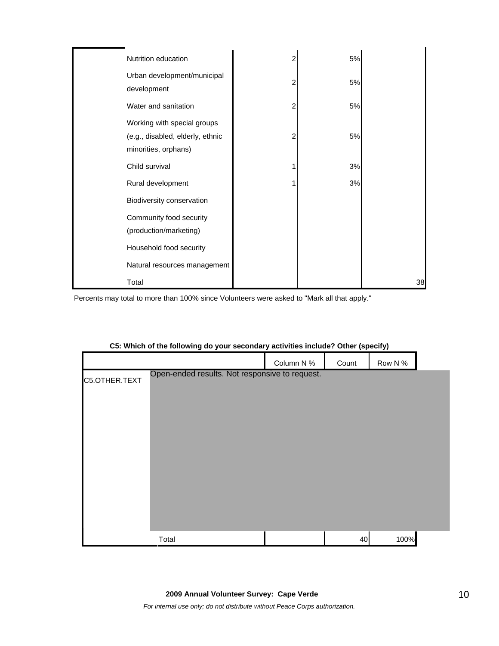| Nutrition education                                                                     | 2 | 5% |    |
|-----------------------------------------------------------------------------------------|---|----|----|
| Urban development/municipal<br>development                                              | 2 | 5% |    |
| Water and sanitation                                                                    | 2 | 5% |    |
| Working with special groups<br>(e.g., disabled, elderly, ethnic<br>minorities, orphans) | 2 | 5% |    |
| Child survival                                                                          |   | 3% |    |
| Rural development                                                                       |   | 3% |    |
| Biodiversity conservation                                                               |   |    |    |
| Community food security<br>(production/marketing)                                       |   |    |    |
| Household food security                                                                 |   |    |    |
| Natural resources management                                                            |   |    |    |
| Total                                                                                   |   |    | 38 |

Percents may total to more than 100% since Volunteers were asked to "Mark all that apply."

|               |                                                | Column N % | Count | Row N % |  |
|---------------|------------------------------------------------|------------|-------|---------|--|
| C5.OTHER.TEXT | Open-ended results. Not responsive to request. |            |       |         |  |
|               |                                                |            |       |         |  |
|               |                                                |            |       |         |  |
|               |                                                |            |       |         |  |
|               |                                                |            |       |         |  |
|               |                                                |            |       |         |  |
|               |                                                |            |       |         |  |
|               |                                                |            |       |         |  |
|               |                                                |            |       |         |  |
|               | Total                                          |            | 40    | 100%    |  |

## **C5: Which of the following do your secondary activities include? Other (specify)**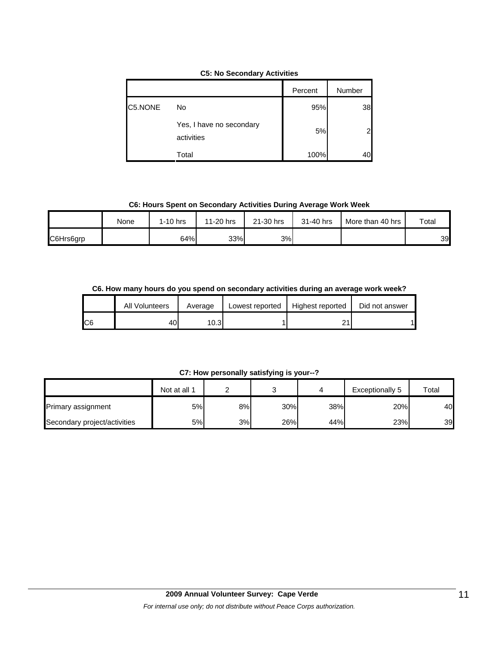|  |  | <b>C5: No Secondary Activities</b> |  |
|--|--|------------------------------------|--|
|--|--|------------------------------------|--|

|         |                                        | Percent | Number |
|---------|----------------------------------------|---------|--------|
| C5.NONE | No                                     | 95%     | 38     |
|         | Yes, I have no secondary<br>activities | 5%      |        |
|         | Total                                  | 100%    |        |

**C6: Hours Spent on Secondary Activities During Average Work Week**

|           | None | $1-10$ hrs | 11-20 hrs | 21-30 hrs | 31-40 hrs | More than 40 hrs | $\tau$ otal |
|-----------|------|------------|-----------|-----------|-----------|------------------|-------------|
| C6Hrs6grp |      | 64%        | 33%       | 3%        |           |                  | 39          |

**C6. How many hours do you spend on secondary activities during an average work week?**

|     | <b>All Volunteers</b> | Average | Lowest reported | Highest reported | Did not answer |
|-----|-----------------------|---------|-----------------|------------------|----------------|
| IC6 | 40                    | 0.3     |                 | ▃                |                |

**C7: How personally satisfying is your--?**

|                              | Not at all 1 |    |     |     | Exceptionally 5 | Total |
|------------------------------|--------------|----|-----|-----|-----------------|-------|
| Primary assignment           | 5%           | 8% | 30% | 38% | 20%             | 40    |
| Secondary project/activities | 5%           | 3% | 26% | 44% | 23%             | 39    |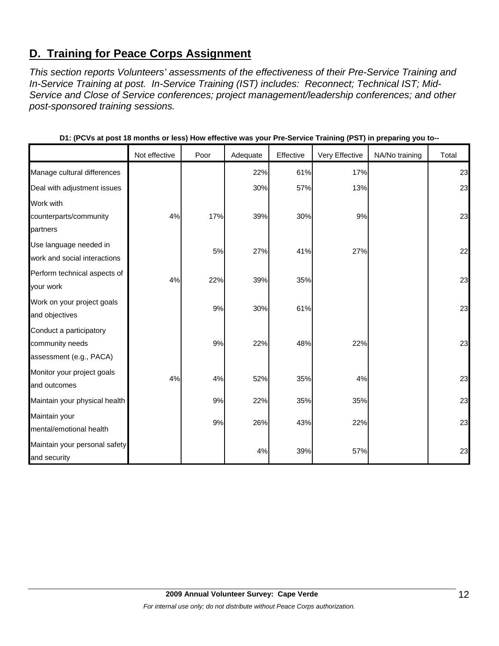# **D. Training for Peace Corps Assignment**

*This section reports Volunteers' assessments of the effectiveness of their Pre-Service Training and In-Service Training at post. In-Service Training (IST) includes: Reconnect; Technical IST; Mid-Service and Close of Service conferences; project management/leadership conferences; and other post-sponsored training sessions.* 

|                               |               |      |          |           | ັ່             | . .<br>ິ       |       |
|-------------------------------|---------------|------|----------|-----------|----------------|----------------|-------|
|                               | Not effective | Poor | Adequate | Effective | Very Effective | NA/No training | Total |
| Manage cultural differences   |               |      | 22%      | 61%       | 17%            |                | 23    |
| Deal with adjustment issues   |               |      | 30%      | 57%       | 13%            |                | 23    |
| Work with                     |               |      |          |           |                |                |       |
| counterparts/community        | 4%            | 17%  | 39%      | 30%       | 9%             |                | 23    |
| partners                      |               |      |          |           |                |                |       |
| Use language needed in        |               | 5%   | 27%      | 41%       | 27%            |                | 22    |
| work and social interactions  |               |      |          |           |                |                |       |
| Perform technical aspects of  | 4%            | 22%  | 39%      | 35%       |                |                | 23    |
| your work                     |               |      |          |           |                |                |       |
| Work on your project goals    |               | 9%   | 30%      | 61%       |                |                | 23    |
| and objectives                |               |      |          |           |                |                |       |
| Conduct a participatory       |               |      |          |           |                |                |       |
| community needs               |               | 9%   | 22%      | 48%       | 22%            |                | 23    |
| assessment (e.g., PACA)       |               |      |          |           |                |                |       |
| Monitor your project goals    | 4%            | 4%   | 52%      | 35%       | 4%             |                | 23    |
| and outcomes                  |               |      |          |           |                |                |       |
| Maintain your physical health |               | 9%   | 22%      | 35%       | 35%            |                | 23    |
| Maintain your                 |               | 9%   | 26%      | 43%       | 22%            |                | 23    |
| mental/emotional health       |               |      |          |           |                |                |       |
| Maintain your personal safety |               |      |          |           |                |                | 23    |
| and security                  |               |      | 4%       | 39%       | 57%            |                |       |

**D1: (PCVs at post 18 months or less) How effective was your Pre-Service Training (PST) in preparing you to--**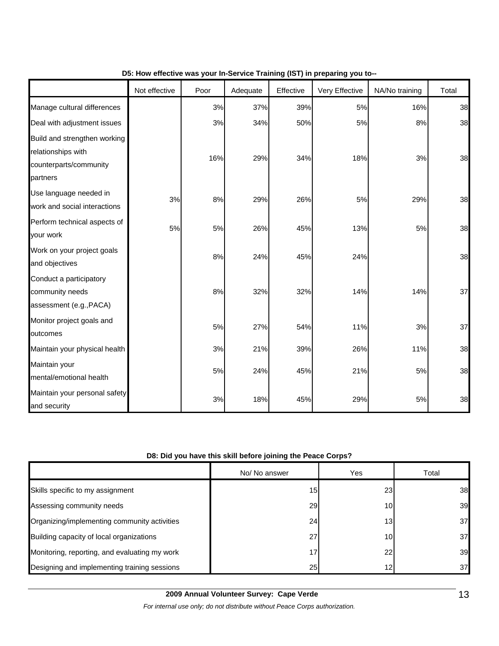|                                                                                          | Not effective | Poor | Adequate | Effective | Very Effective | NA/No training | Total |
|------------------------------------------------------------------------------------------|---------------|------|----------|-----------|----------------|----------------|-------|
| Manage cultural differences                                                              |               | 3%   | 37%      | 39%       | 5%             | 16%            | 38    |
| Deal with adjustment issues                                                              |               | 3%   | 34%      | 50%       | 5%             | 8%             | 38    |
| Build and strengthen working<br>relationships with<br>counterparts/community<br>partners |               | 16%  | 29%      | 34%       | 18%            | 3%             | 38    |
| Use language needed in<br>work and social interactions                                   | 3%            | 8%   | 29%      | 26%       | 5%             | 29%            | 38    |
| Perform technical aspects of<br>your work                                                | 5%            | 5%   | 26%      | 45%       | 13%            | 5%             | 38    |
| Work on your project goals<br>and objectives                                             |               | 8%   | 24%      | 45%       | 24%            |                | 38    |
| Conduct a participatory<br>community needs<br>assessment (e.g., PACA)                    |               | 8%   | 32%      | 32%       | 14%            | 14%            | 37    |
| Monitor project goals and<br>outcomes                                                    |               | 5%   | 27%      | 54%       | 11%            | 3%             | 37    |
| Maintain your physical health                                                            |               | 3%   | 21%      | 39%       | 26%            | 11%            | 38    |
| Maintain your<br>mental/emotional health                                                 |               | 5%   | 24%      | 45%       | 21%            | 5%             | 38    |
| Maintain your personal safety<br>and security                                            |               | 3%   | 18%      | 45%       | 29%            | 5%             | 38    |

## **D5: How effective was your In-Service Training (IST) in preparing you to--**

## **D8: Did you have this skill before joining the Peace Corps?**

|                                               | No/ No answer   | Yes             | Total |
|-----------------------------------------------|-----------------|-----------------|-------|
| Skills specific to my assignment              | 15 <sub>1</sub> | 23              | 38    |
| Assessing community needs                     | 29              | 10I             | 39    |
| Organizing/implementing community activities  | 24              | 13 <sub>l</sub> | 37    |
| Building capacity of local organizations      | 27              | 10I             | 37    |
| Monitoring, reporting, and evaluating my work | 17              | 22              | 39    |
| Designing and implementing training sessions  | 25              | 12              | 37    |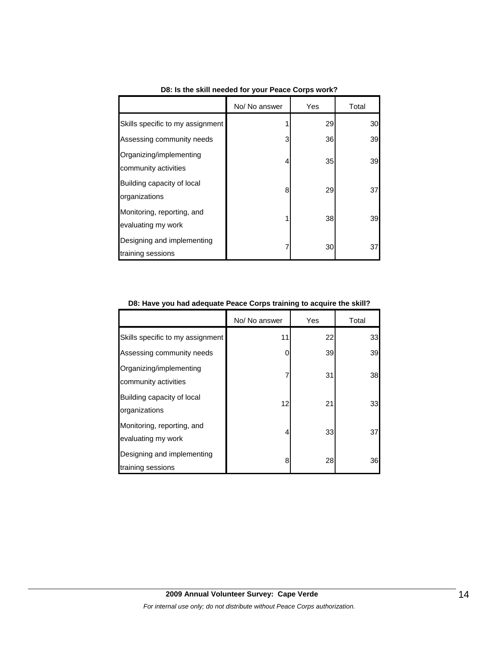|                                                  | No/ No answer | Yes | Total |
|--------------------------------------------------|---------------|-----|-------|
| Skills specific to my assignment                 |               | 29  | 30    |
| Assessing community needs                        | 3             | 36  | 39    |
| Organizing/implementing<br>community activities  | 4             | 35  | 39    |
| Building capacity of local<br>organizations      | 8             | 29  | 37    |
| Monitoring, reporting, and<br>evaluating my work |               | 38  | 39    |
| Designing and implementing<br>training sessions  |               | 30  | 37    |

**D8: Is the skill needed for your Peace Corps work?**

|  | D8: Have you had adequate Peace Corps training to acquire the skill? |  |  |
|--|----------------------------------------------------------------------|--|--|
|--|----------------------------------------------------------------------|--|--|

|                                                  | No/ No answer | Yes | Total |
|--------------------------------------------------|---------------|-----|-------|
| Skills specific to my assignment                 | 11            | 22  | 33    |
| Assessing community needs                        | 0             | 39  | 39    |
| Organizing/implementing<br>community activities  | 7             | 31  | 38    |
| Building capacity of local<br>organizations      | 12            | 21  | 33    |
| Monitoring, reporting, and<br>evaluating my work | 4             | 33  | 37    |
| Designing and implementing<br>training sessions  | 8             | 28  | 36    |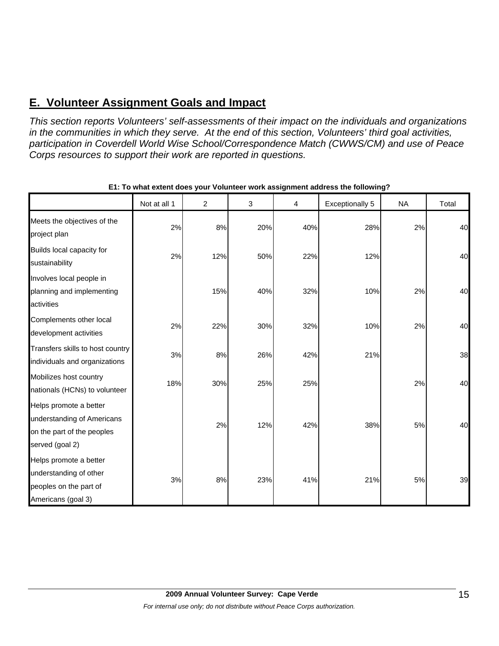# **E. Volunteer Assignment Goals and Impact**

*This section reports Volunteers' self-assessments of their impact on the individuals and organizations in the communities in which they serve. At the end of this section, Volunteers' third goal activities, participation in Coverdell World Wise School/Correspondence Match (CWWS/CM) and use of Peace Corps resources to support their work are reported in questions.* 

|                                                                                                       | Not at all 1 | $\overline{c}$ | 3   | 4   | <b>Exceptionally 5</b> | <b>NA</b> | Total |
|-------------------------------------------------------------------------------------------------------|--------------|----------------|-----|-----|------------------------|-----------|-------|
| Meets the objectives of the<br>project plan                                                           | 2%           | 8%             | 20% | 40% | 28%                    | 2%        | 40    |
| Builds local capacity for<br>sustainability                                                           | 2%           | 12%            | 50% | 22% | 12%                    |           | 40    |
| Involves local people in<br>planning and implementing<br>activities                                   |              | 15%            | 40% | 32% | 10%                    | 2%        | 40    |
| Complements other local<br>development activities                                                     | 2%           | 22%            | 30% | 32% | 10%                    | 2%        | 40    |
| Transfers skills to host country<br>individuals and organizations                                     | 3%           | 8%             | 26% | 42% | 21%                    |           | 38    |
| Mobilizes host country<br>nationals (HCNs) to volunteer                                               | 18%          | 30%            | 25% | 25% |                        | 2%        | 40    |
| Helps promote a better<br>understanding of Americans<br>on the part of the peoples<br>served (goal 2) |              | 2%             | 12% | 42% | 38%                    | 5%        | 40    |
| Helps promote a better<br>understanding of other<br>peoples on the part of<br>Americans (goal 3)      | 3%           | 8%             | 23% | 41% | 21%                    | 5%        | 39    |

**E1: To what extent does your Volunteer work assignment address the following?**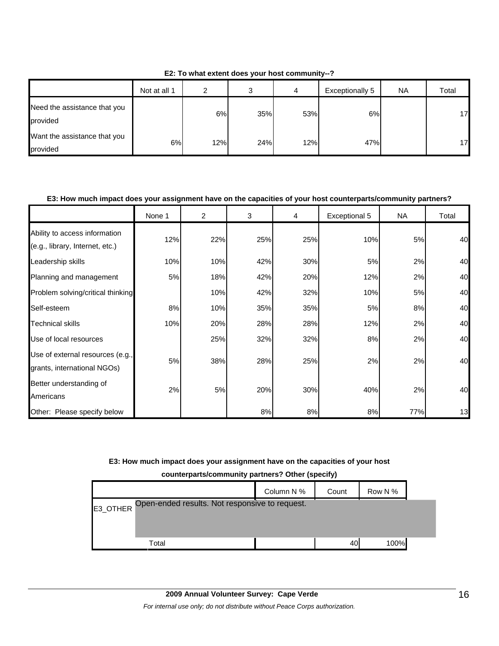|                                          | Not at all 1 | າ   | C   | 4   | Exceptionally 5 | <b>NA</b> | Total |
|------------------------------------------|--------------|-----|-----|-----|-----------------|-----------|-------|
| Need the assistance that you<br>provided |              | 6%  | 35% | 53% | 6%              |           | 17    |
| Want the assistance that you<br>provided | 6%           | 12% | 24% | 12% | 47%             |           | 17    |

**E2: To what extent does your host community--?**

### **E3: How much impact does your assignment have on the capacities of your host counterparts/community partners?**

|                                                                  | None 1 | $\overline{2}$ | 3   | 4   | Exceptional 5 | <b>NA</b> | Total |
|------------------------------------------------------------------|--------|----------------|-----|-----|---------------|-----------|-------|
| Ability to access information<br>(e.g., library, Internet, etc.) | 12%    | 22%            | 25% | 25% | 10%           | 5%        | 40    |
| Leadership skills                                                | 10%    | 10%            | 42% | 30% | 5%            | 2%        | 40    |
| Planning and management                                          | 5%     | 18%            | 42% | 20% | 12%           | 2%        | 40    |
| Problem solving/critical thinking                                |        | 10%            | 42% | 32% | 10%           | 5%        | 40    |
| Self-esteem                                                      | 8%     | 10%            | 35% | 35% | 5%            | 8%        | 40    |
| <b>Technical skills</b>                                          | 10%    | 20%            | 28% | 28% | 12%           | 2%        | 40    |
| Use of local resources                                           |        | 25%            | 32% | 32% | 8%            | 2%        | 40    |
| Use of external resources (e.g.,<br>grants, international NGOs)  | 5%     | 38%            | 28% | 25% | 2%            | 2%        | 40    |
| Better understanding of<br>Americans                             | 2%     | 5%             | 20% | 30% | 40%           | 2%        | 40    |
| Other: Please specify below                                      |        |                | 8%  | 8%  | 8%            | 77%       | 13    |

### **E3: How much impact does your assignment have on the capacities of your host**

**counterparts/community partners? Other (specify)**

|          |                                                | Column N % | Count | Row N % |  |
|----------|------------------------------------------------|------------|-------|---------|--|
| E3_OTHER | Open-ended results. Not responsive to request. |            |       |         |  |
|          |                                                |            |       |         |  |
|          | Total                                          |            | 40    | 100%    |  |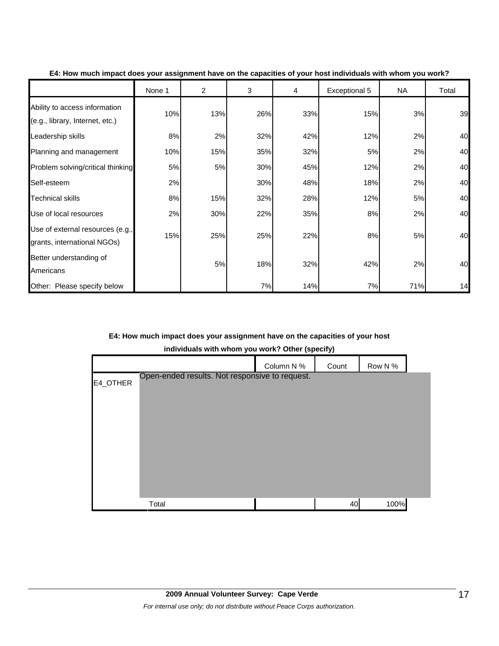|                                                                  | None 1 | $\overline{c}$ | 3   | 4   | Exceptional 5 | <b>NA</b> | Total |
|------------------------------------------------------------------|--------|----------------|-----|-----|---------------|-----------|-------|
| Ability to access information<br>(e.g., library, Internet, etc.) | 10%    | 13%            | 26% | 33% | 15%           | 3%        | 39    |
| Leadership skills                                                | 8%     | 2%             | 32% | 42% | 12%           | 2%        | 40    |
| Planning and management                                          | 10%    | 15%            | 35% | 32% | 5%            | 2%        | 40    |
| Problem solving/critical thinking                                | 5%     | 5%             | 30% | 45% | 12%           | 2%        | 40    |
| Self-esteem                                                      | 2%     |                | 30% | 48% | 18%           | 2%        | 40    |
| Technical skills                                                 | 8%     | 15%            | 32% | 28% | 12%           | 5%        | 40    |
| Use of local resources                                           | 2%     | 30%            | 22% | 35% | 8%            | 2%        | 40    |
| Use of external resources (e.g.,<br>grants, international NGOs)  | 15%    | 25%            | 25% | 22% | 8%            | 5%        | 40    |
| Better understanding of<br>Americans                             |        | 5%             | 18% | 32% | 42%           | 2%        | 40    |
| Other: Please specify below                                      |        |                | 7%  | 14% | 7%            | 71%       | 14    |

**E4: How much impact does your assignment have on the capacities of your host individuals with whom you work?**

**E4: How much impact does your assignment have on the capacities of your host** 

**individuals with whom you work? Other (specify)**

|          |                                                | Column N % | Count | Row N % |  |
|----------|------------------------------------------------|------------|-------|---------|--|
| E4_OTHER | Open-ended results. Not responsive to request. |            |       |         |  |
|          |                                                |            |       |         |  |
|          |                                                |            |       |         |  |
|          |                                                |            |       |         |  |
|          |                                                |            |       |         |  |
|          |                                                |            |       |         |  |
|          |                                                |            |       |         |  |
|          |                                                |            |       |         |  |
|          | Total                                          |            | 40    | 100%    |  |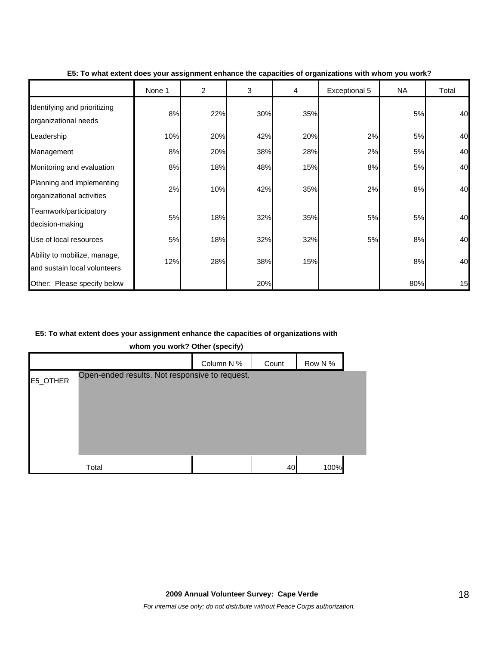|                                                              | None 1 | 2   | 3   | 4   | Exceptional 5 | <b>NA</b> | Total |
|--------------------------------------------------------------|--------|-----|-----|-----|---------------|-----------|-------|
| Identifying and prioritizing<br>organizational needs         | 8%     | 22% | 30% | 35% |               | 5%        | 40    |
| Leadership                                                   | 10%    | 20% | 42% | 20% | 2%            | 5%        | 40    |
| Management                                                   | 8%     | 20% | 38% | 28% | 2%            | 5%        | 40    |
| Monitoring and evaluation                                    | 8%     | 18% | 48% | 15% | 8%            | 5%        | 40    |
| Planning and implementing<br>organizational activities       | 2%     | 10% | 42% | 35% | 2%            | 8%        | 40    |
| Teamwork/participatory<br>decision-making                    | 5%     | 18% | 32% | 35% | 5%            | 5%        | 40    |
| Use of local resources                                       | 5%     | 18% | 32% | 32% | 5%            | 8%        | 40    |
| Ability to mobilize, manage,<br>and sustain local volunteers | 12%    | 28% | 38% | 15% |               | 8%        | 40    |
| Other: Please specify below                                  |        |     | 20% |     |               | 80%       | 15    |

#### **E5: To what extent does your assignment enhance the capacities of organizations with whom you work?**

### **E5: To what extent does your assignment enhance the capacities of organizations with**

**whom you work? Other (specify)**

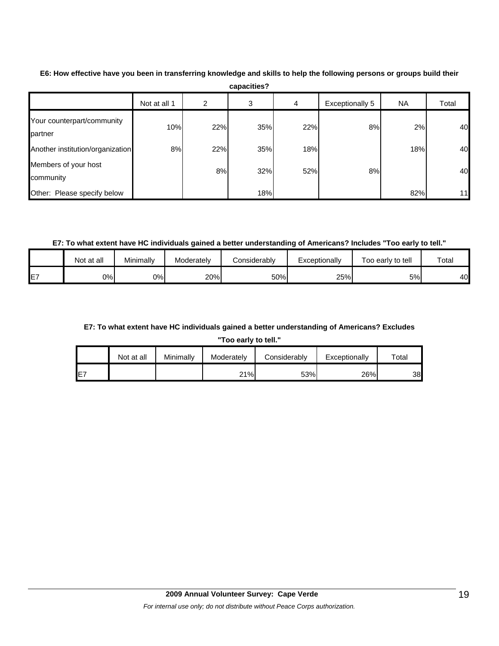|                                       | Not at all 1 | 2   | 3   | 4   | Exceptionally 5 | NА  | Total |
|---------------------------------------|--------------|-----|-----|-----|-----------------|-----|-------|
| Your counterpart/community<br>partner | 10%          | 22% | 35% | 22% | 8%              | 2%  | 40    |
| Another institution/organization      | 8%           | 22% | 35% | 18% |                 | 18% | 40    |
| Members of your host<br>community     |              | 8%  | 32% | 52% | 8%              |     | 40    |
| Other: Please specify below           |              |     | 18% |     |                 | 82% | 11    |

**E6: How effective have you been in transferring knowledge and skills to help the following persons or groups build their capacities?**

**E7: To what extent have HC individuals gained a better understanding of Americans? Includes "Too early to tell."**

|         | Not at all | Minimally | Moderately | Considerablv | Exceptionallv | Too early to tell | $\tau$ <sub>otal</sub> |
|---------|------------|-----------|------------|--------------|---------------|-------------------|------------------------|
| --<br>_ | 0%         | 0%        | 20%        | 50%          | 25%           | 5%l               | 40                     |

## **E7: To what extent have HC individuals gained a better understanding of Americans? Excludes**

**"Too early to tell."**

|                 | Not at all | Minimallv | Moderately | Considerably | Exceptionally | $\tau$ otal |
|-----------------|------------|-----------|------------|--------------|---------------|-------------|
| IE <sub>7</sub> |            |           | 21%        | 53%          | 26%           | 38          |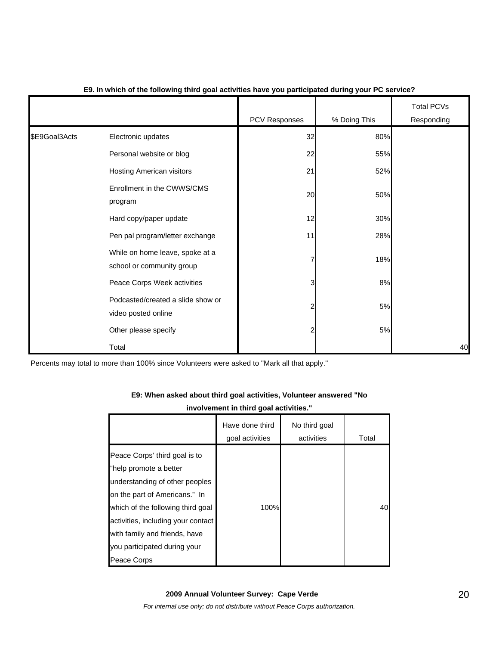|               |                                                              | PCV Responses | % Doing This | <b>Total PCVs</b><br>Responding |
|---------------|--------------------------------------------------------------|---------------|--------------|---------------------------------|
| \$E9Goal3Acts | Electronic updates                                           | 32            | 80%          |                                 |
|               | Personal website or blog                                     | 22            | 55%          |                                 |
|               | Hosting American visitors                                    | 21            | 52%          |                                 |
|               | Enrollment in the CWWS/CMS<br>program                        | 20            | 50%          |                                 |
|               | Hard copy/paper update                                       | 12            | 30%          |                                 |
|               | Pen pal program/letter exchange                              | 11            | 28%          |                                 |
|               | While on home leave, spoke at a<br>school or community group | 7             | 18%          |                                 |
|               | Peace Corps Week activities                                  | 3             | 8%           |                                 |
|               | Podcasted/created a slide show or<br>video posted online     | 2             | 5%           |                                 |
|               | Other please specify                                         | 2             | 5%           |                                 |
|               | Total                                                        |               |              | 40                              |

### **E9. In which of the following third goal activities have you participated during your PC service?**

Percents may total to more than 100% since Volunteers were asked to "Mark all that apply."

# **E9: When asked about third goal activities, Volunteer answered "No**

## **involvement in third goal activities."**

|                                                                                                                                                                                                                                                                                       | Have done third<br>goal activities | No third goal<br>activities | Total |
|---------------------------------------------------------------------------------------------------------------------------------------------------------------------------------------------------------------------------------------------------------------------------------------|------------------------------------|-----------------------------|-------|
| Peace Corps' third goal is to<br>"help promote a better<br>understanding of other peoples<br>on the part of Americans." In<br>which of the following third goal<br>activities, including your contact<br>with family and friends, have<br>you participated during your<br>Peace Corps | 100%                               |                             | 40    |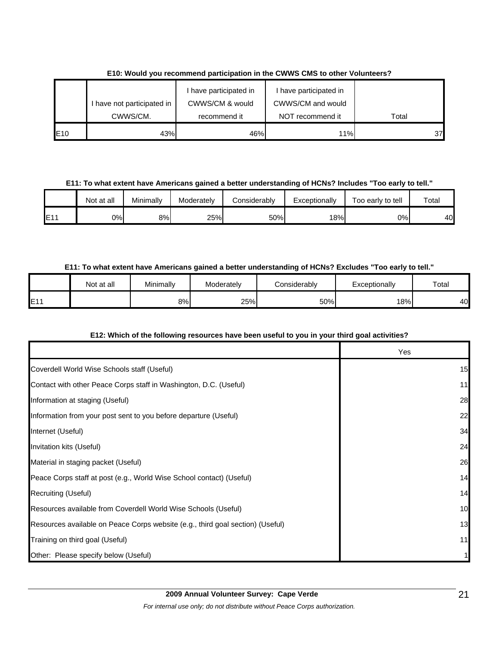|     |                          | I have participated in | have participated in |       |
|-----|--------------------------|------------------------|----------------------|-------|
|     | have not participated in | CWWS/CM & would        | CWWS/CM and would    |       |
|     | CWWS/CM.                 | recommend it           | NOT recommend it     | Total |
| E10 | 43%                      | 46%                    | 11%                  | 37    |

**E10: Would you recommend participation in the CWWS CMS to other Volunteers?**

**E11: To what extent have Americans gained a better understanding of HCNs? Includes "Too early to tell."**

|     | Not at all | Minimally | Moderately | Considerably | Exceptionally | Too early to tell | $\tau$ otal |
|-----|------------|-----------|------------|--------------|---------------|-------------------|-------------|
| E11 | 0%l        | 8%        | 25%        | 50%          | 18%           | 0%l               | 40          |

## **E11: To what extent have Americans gained a better understanding of HCNs? Excludes "Too early to tell."**

|           | Not at all | Minimally | Moderately | Considerably | Exceptionally | Total |
|-----------|------------|-----------|------------|--------------|---------------|-------|
| E11<br>-- |            | 8%        | 25%        | 50%          | 18%           | 40    |

## **E12: Which of the following resources have been useful to you in your third goal activities?**

|                                                                                | Yes |
|--------------------------------------------------------------------------------|-----|
| Coverdell World Wise Schools staff (Useful)                                    | 15  |
| Contact with other Peace Corps staff in Washington, D.C. (Useful)              | 11  |
| Information at staging (Useful)                                                | 28  |
| Information from your post sent to you before departure (Useful)               | 22  |
| Internet (Useful)                                                              | 34  |
| Invitation kits (Useful)                                                       | 24  |
| Material in staging packet (Useful)                                            | 26  |
| Peace Corps staff at post (e.g., World Wise School contact) (Useful)           | 14  |
| Recruiting (Useful)                                                            | 14  |
| Resources available from Coverdell World Wise Schools (Useful)                 | 10  |
| Resources available on Peace Corps website (e.g., third goal section) (Useful) | 13  |
| Training on third goal (Useful)                                                | 11  |
| Other: Please specify below (Useful)                                           |     |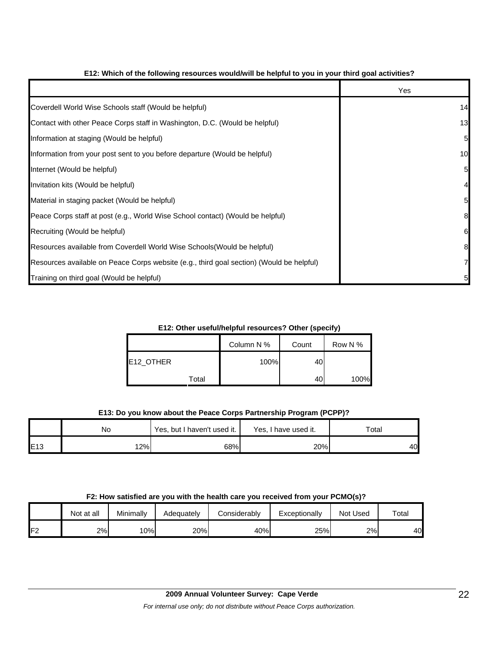|                                                                                          | Yes |
|------------------------------------------------------------------------------------------|-----|
| Coverdell World Wise Schools staff (Would be helpful)                                    | 14  |
| Contact with other Peace Corps staff in Washington, D.C. (Would be helpful)              | 13  |
| Information at staging (Would be helpful)                                                | 5   |
| Information from your post sent to you before departure (Would be helpful)               | 10  |
| Internet (Would be helpful)                                                              | 5   |
| Invitation kits (Would be helpful)                                                       |     |
| Material in staging packet (Would be helpful)                                            | 5   |
| Peace Corps staff at post (e.g., World Wise School contact) (Would be helpful)           | 8   |
| Recruiting (Would be helpful)                                                            | 6   |
| Resources available from Coverdell World Wise Schools (Would be helpful)                 | 8   |
| Resources available on Peace Corps website (e.g., third goal section) (Would be helpful) |     |
| Training on third goal (Would be helpful)                                                | 5   |

### **E12: Which of the following resources would/will be helpful to you in your third goal activities?**

**E12: Other useful/helpful resources? Other (specify)**

|           | Column N % | Count | Row N % |
|-----------|------------|-------|---------|
| E12_OTHER | 100%       | 40    |         |
| Total     |            | 40    | 100%    |

## **E13: Do you know about the Peace Corps Partnership Program (PCPP)?**

|     | Yes, but I haven't used it.<br>No |     | Yes, I have used it. | $\tau$ otal |  |
|-----|-----------------------------------|-----|----------------------|-------------|--|
| E13 | 12%                               | 68% | 20%                  | 40          |  |

#### **F2: How satisfied are you with the health care you received from your PCMO(s)?**

|     | Not at all | Minimally | Adequately | onsiderablyٽ | Exceptionally | Not Used | Total |
|-----|------------|-----------|------------|--------------|---------------|----------|-------|
| IFZ | 2%         | 10%       | 20%        | 40%          | 25%           | 2%       | 40    |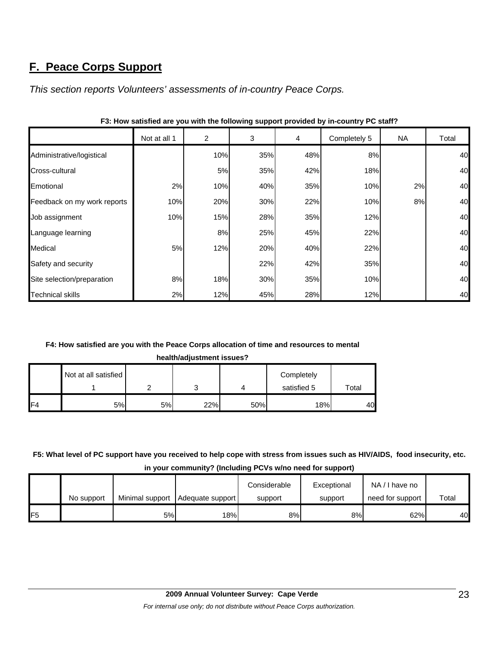# **F. Peace Corps Support**

*This section reports Volunteers' assessments of in-country Peace Corps.* 

|                             | Not at all 1 | 2   | 3   | $\overline{4}$ | Completely 5 | NA | Total |
|-----------------------------|--------------|-----|-----|----------------|--------------|----|-------|
| Administrative/logistical   |              | 10% | 35% | 48%            | 8%           |    | 40    |
| Cross-cultural              |              | 5%  | 35% | 42%            | 18%          |    | 40    |
| Emotional                   | 2%           | 10% | 40% | 35%            | 10%          | 2% | 40    |
| Feedback on my work reports | 10%          | 20% | 30% | 22%            | 10%          | 8% | 40    |
| Job assignment              | 10%          | 15% | 28% | 35%            | 12%          |    | 40    |
| Language learning           |              | 8%  | 25% | 45%            | 22%          |    | 40    |
| Medical                     | 5%           | 12% | 20% | 40%            | 22%          |    | 40    |
| Safety and security         |              |     | 22% | 42%            | 35%          |    | 40    |
| Site selection/preparation  | 8%           | 18% | 30% | 35%            | 10%          |    | 40    |
| <b>Technical skills</b>     | 2%           | 12% | 45% | 28%            | 12%          |    | 40    |

**F3: How satisfied are you with the following support provided by in-country PC staff?**

### **F4: How satisfied are you with the Peace Corps allocation of time and resources to mental**

**health/adjustment issues?**

|     | Not at all satisfied |    |        |     | Completely  |       |
|-----|----------------------|----|--------|-----|-------------|-------|
|     |                      |    | ⌒<br>J |     | satisfied 5 | Total |
| IF4 | 5%                   | 5% | 22%    | 50% | 18%         | 40    |

# **F5: What level of PC support have you received to help cope with stress from issues such as HIV/AIDS, food insecurity, etc.**

|  |  |  | in your community? (Including PCVs w/no need for support) |
|--|--|--|-----------------------------------------------------------|
|--|--|--|-----------------------------------------------------------|

|     |            |    |                                    | Considerable | Exceptional | NA/I have no     |       |
|-----|------------|----|------------------------------------|--------------|-------------|------------------|-------|
|     | No support |    | Minimal support   Adequate support | support      | support     | need for support | Total |
| IF5 |            | 5% | 18% <sub>1</sub>                   | 8%           | 8%          | 62%              | 40    |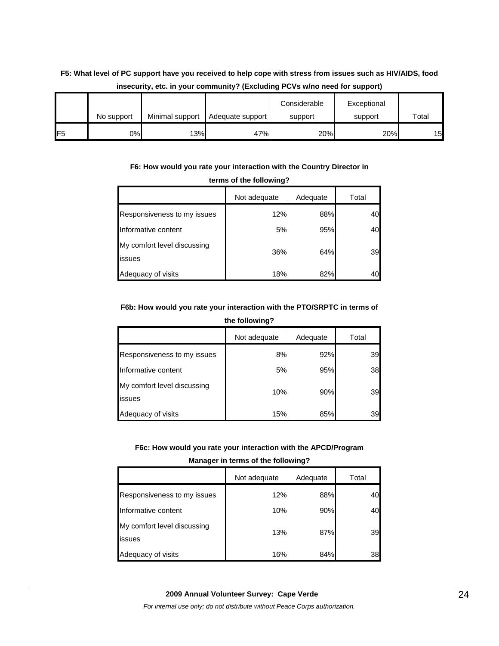# **F5: What level of PC support have you received to help cope with stress from issues such as HIV/AIDS, food insecurity, etc. in your community? (Excluding PCVs w/no need for support)**

|                 |            |                 |                  | Considerable | Exceptional |       |
|-----------------|------------|-----------------|------------------|--------------|-------------|-------|
|                 | No support | Minimal support | Adequate support | support      | support     | Total |
| IF <sub>5</sub> | 0%         | 13%             | 47%              | 20%          | 20%         | 15    |

### **F6: How would you rate your interaction with the Country Director in**

| terms of the following?               |              |          |       |  |  |
|---------------------------------------|--------------|----------|-------|--|--|
|                                       | Not adequate | Adequate | Total |  |  |
| Responsiveness to my issues           | 12%          | 88%      | 40    |  |  |
| Informative content                   | 5%           | 95%      | 40    |  |  |
| My comfort level discussing<br>issues | 36%          | 64%      | 39    |  |  |
| Adequacy of visits                    | 18%          | 82%      |       |  |  |

### **F6b: How would you rate your interaction with the PTO/SRPTC in terms of**

#### **the following?**

|                                       | Not adequate | Adequate | Total |
|---------------------------------------|--------------|----------|-------|
| Responsiveness to my issues           | 8%           | 92%      | 39    |
| Informative content                   | 5%           | 95%      | 38    |
| My comfort level discussing<br>issues | 10%          | 90%      | 39    |
| Adequacy of visits                    | 15%          | 85%      | 39    |

#### **F6c: How would you rate your interaction with the APCD/Program**

#### **Manager in terms of the following?**

|                                       | Not adequate | Adequate | Total |
|---------------------------------------|--------------|----------|-------|
| Responsiveness to my issues           | 12%          | 88%      | 40    |
| Informative content                   | 10%          | 90%      | 40    |
| My comfort level discussing<br>issues | 13%          | 87%      | 39    |
| Adequacy of visits                    | 16%          | 84%      | 38    |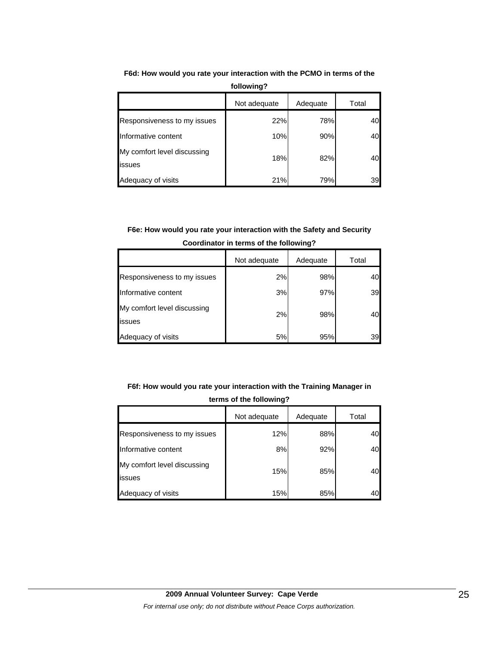|                                       | Not adequate | Adequate | Total |
|---------------------------------------|--------------|----------|-------|
| Responsiveness to my issues           | 22%          | 78%      | 40    |
| Informative content                   | 10%          | 90%      | 40    |
| My comfort level discussing<br>issues | 18%          | 82%      | 40    |
| Adequacy of visits                    | 21%          | 79%      | 39    |

**F6d: How would you rate your interaction with the PCMO in terms of the following?**

# **F6e: How would you rate your interaction with the Safety and Security Coordinator in terms of the following?**

|                                       | Not adequate | Adequate | Total |
|---------------------------------------|--------------|----------|-------|
| Responsiveness to my issues           | 2%           | 98%      | 40    |
| Informative content                   | 3%           | 97%      | 39    |
| My comfort level discussing<br>issues | 2%           | 98%      | 40    |
| Adequacy of visits                    | 5%           | 95%      | 39    |

# **F6f: How would you rate your interaction with the Training Manager in terms of the following?**

|                                       | Not adequate | Adequate | Total |
|---------------------------------------|--------------|----------|-------|
| Responsiveness to my issues           | 12%          | 88%      |       |
| Informative content                   | 8%           | 92%      | 40    |
| My comfort level discussing<br>issues | 15%          | 85%      | 40    |
| Adequacy of visits                    | 15%          | 85%      |       |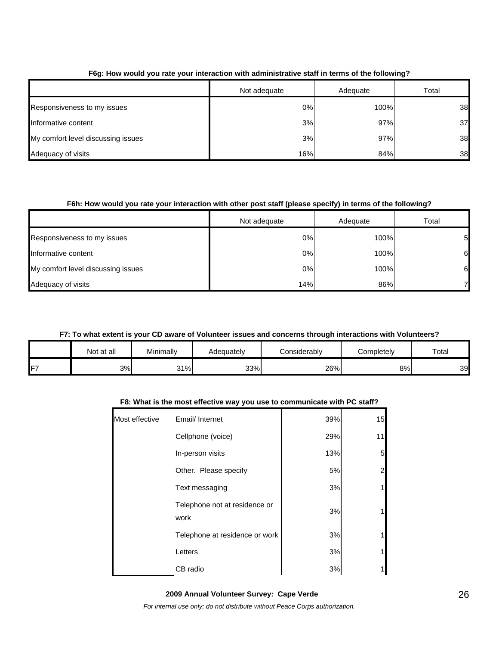|                                    | Not adequate | Adequate | Total |
|------------------------------------|--------------|----------|-------|
| Responsiveness to my issues        | 0%           | 100%     | 38    |
| Informative content                | 3%           | 97%      | 37    |
| My comfort level discussing issues | 3%           | 97%      | 38    |
| Adequacy of visits                 | 16%          | 84%      | 38    |

## **F6g: How would you rate your interaction with administrative staff in terms of the following?**

## **F6h: How would you rate your interaction with other post staff (please specify) in terms of the following?**

|                                    | Not adequate | Adequate | Total |
|------------------------------------|--------------|----------|-------|
| Responsiveness to my issues        | 0%           | 100%     | 51    |
| Informative content                | 0%           | 100%     | 61    |
| My comfort level discussing issues | 0%           | 100%     | 61    |
| Adequacy of visits                 | 14%          | 86%      |       |

### **F7: To what extent is your CD aware of Volunteer issues and concerns through interactions with Volunteers?**

|    | Not at all | Minimally | Adequately | Considerablv | Completely | Total |
|----|------------|-----------|------------|--------------|------------|-------|
| F7 | 3%         | 31%       | 33%        | 26%          | 8%         | 39    |

### **F8: What is the most effective way you use to communicate with PC staff?**

| Most effective | Email/ Internet                       | 39% | 15 |
|----------------|---------------------------------------|-----|----|
|                | Cellphone (voice)                     | 29% | 11 |
|                | In-person visits                      | 13% | 5  |
|                | Other. Please specify                 | 5%  | 2  |
|                | Text messaging                        | 3%  |    |
|                | Telephone not at residence or<br>work | 3%  |    |
|                | Telephone at residence or work        | 3%  |    |
|                | Letters                               | 3%  |    |
|                | CB radio                              | 3%  |    |
|                |                                       |     |    |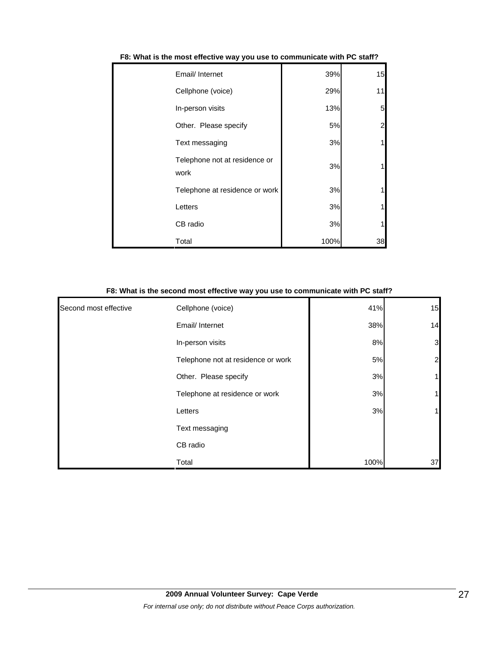| Email/ Internet                       | 39%  | 15 |
|---------------------------------------|------|----|
| Cellphone (voice)                     | 29%  | 11 |
| In-person visits                      | 13%  | 5  |
| Other. Please specify                 | 5%   | 2  |
| Text messaging                        | 3%   |    |
| Telephone not at residence or<br>work | 3%   |    |
| Telephone at residence or work        | 3%   |    |
| Letters                               | 3%   |    |
| CB radio                              | 3%   |    |
| Total                                 | 100% | 38 |

| F8: What is the most effective way you use to communicate with PC staff? |  |
|--------------------------------------------------------------------------|--|
|--------------------------------------------------------------------------|--|

|                       | F8: What is the second most effective way you use to communicate with PC staff? |      |                |
|-----------------------|---------------------------------------------------------------------------------|------|----------------|
| Second most effective | Cellphone (voice)                                                               | 41%  | 15             |
|                       | Email/ Internet                                                                 | 38%  | 14             |
|                       | In-person visits                                                                | 8%   | 3              |
|                       | Telephone not at residence or work                                              | 5%   | $\overline{a}$ |
|                       | Other. Please specify                                                           | 3%   | 1              |
|                       | Telephone at residence or work                                                  | 3%   |                |
|                       | Letters                                                                         | 3%   |                |
|                       | Text messaging                                                                  |      |                |
|                       | CB radio                                                                        |      |                |
|                       | Total                                                                           | 100% | 37             |

#### **F8: What is the second most effective way you use to communicate with PC staff?**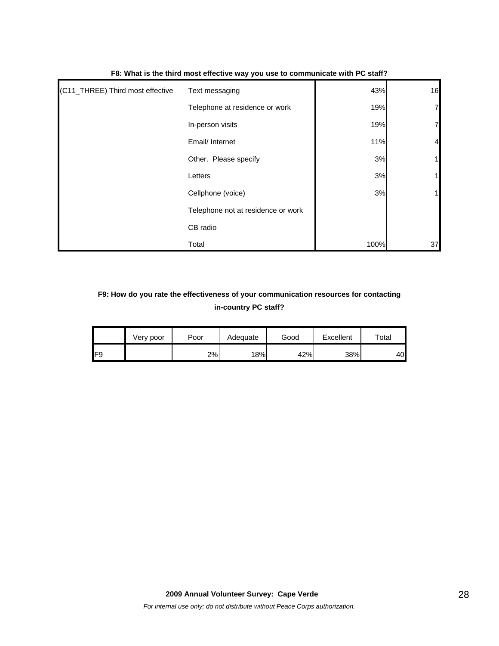| (C11_THREE) Third most effective | Text messaging                     | 43%  | 16             |
|----------------------------------|------------------------------------|------|----------------|
|                                  | Telephone at residence or work     | 19%  | 7              |
|                                  | In-person visits                   | 19%  | 7              |
|                                  | Email/ Internet                    | 11%  | $\overline{4}$ |
|                                  | Other. Please specify              | 3%   | 1              |
|                                  | Letters                            | 3%   | 1              |
|                                  | Cellphone (voice)                  | 3%   |                |
|                                  | Telephone not at residence or work |      |                |
|                                  | CB radio                           |      |                |
|                                  | Total                              | 100% | 37             |

### **F8: What is the third most effective way you use to communicate with PC staff?**

# **F9: How do you rate the effectiveness of your communication resources for contacting in-country PC staff?**

|     | Very poor | Poor | Adequate | Good | Excellent | $\mathsf{Total}$ |
|-----|-----------|------|----------|------|-----------|------------------|
| IF9 |           | 2%   | 18%      | 42%  | 38%       | 40               |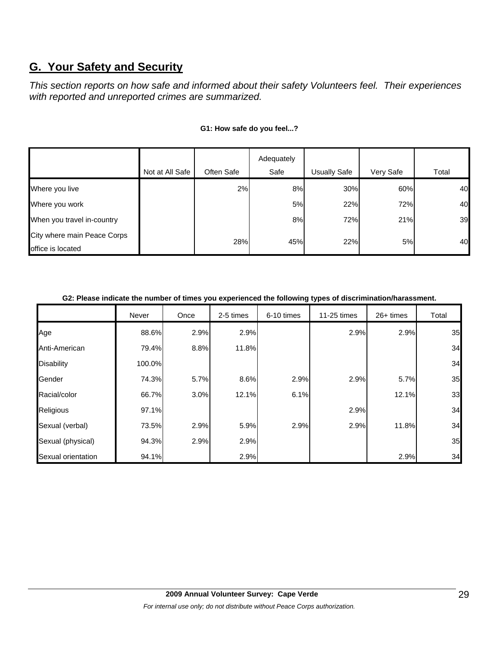# **G. Your Safety and Security**

*This section reports on how safe and informed about their safety Volunteers feel. Their experiences with reported and unreported crimes are summarized.* 

|                             |                 |            | Adequately |                     |           |       |
|-----------------------------|-----------------|------------|------------|---------------------|-----------|-------|
|                             | Not at All Safe | Often Safe | Safe       | <b>Usually Safe</b> | Very Safe | Total |
| Where you live              |                 | 2%         | 8%         | 30%                 | 60%       | 40    |
| Where you work              |                 |            | 5%         | 22%                 | 72%       | 40    |
| When you travel in-country  |                 |            | 8%         | 72%                 | 21%       | 39    |
| City where main Peace Corps |                 | 28%        | 45%        | 22%                 | <b>5%</b> | 40    |
| office is located           |                 |            |            |                     |           |       |

### **G1: How safe do you feel...?**

#### **G2: Please indicate the number of times you experienced the following types of discrimination/harassment.**

|                    | Never  | Once | 2-5 times | 6-10 times | 11-25 times | 26+ times | Total |
|--------------------|--------|------|-----------|------------|-------------|-----------|-------|
| Age                | 88.6%  | 2.9% | 2.9%      |            | 2.9%        | 2.9%      | 35    |
| Anti-American      | 79.4%  | 8.8% | 11.8%     |            |             |           | 34    |
| <b>Disability</b>  | 100.0% |      |           |            |             |           | 34    |
| Gender             | 74.3%  | 5.7% | 8.6%      | 2.9%       | 2.9%        | 5.7%      | 35    |
| Racial/color       | 66.7%  | 3.0% | 12.1%     | 6.1%       |             | 12.1%     | 33    |
| Religious          | 97.1%  |      |           |            | 2.9%        |           | 34    |
| Sexual (verbal)    | 73.5%  | 2.9% | 5.9%      | 2.9%       | 2.9%        | 11.8%     | 34    |
| Sexual (physical)  | 94.3%  | 2.9% | 2.9%      |            |             |           | 35    |
| Sexual orientation | 94.1%  |      | 2.9%      |            |             | 2.9%      | 34    |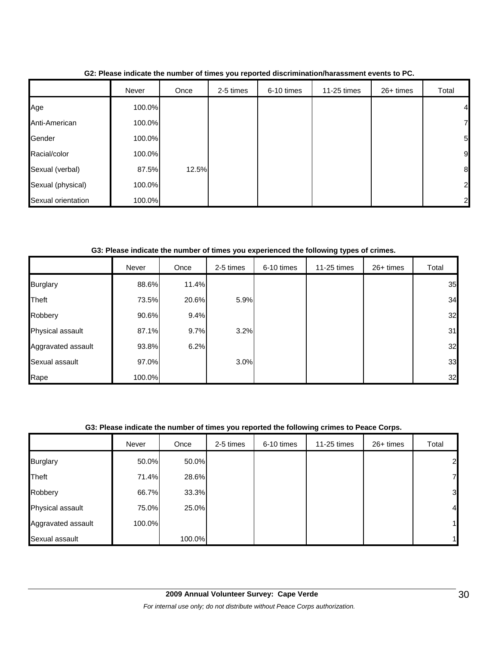|                    | Never  | Once  | 2-5 times | 6-10 times | 11-25 times | 26+ times | Total            |
|--------------------|--------|-------|-----------|------------|-------------|-----------|------------------|
| Age                | 100.0% |       |           |            |             |           | 4                |
| Anti-American      | 100.0% |       |           |            |             |           | 7                |
| Gender             | 100.0% |       |           |            |             |           | $5\overline{a}$  |
| Racial/color       | 100.0% |       |           |            |             |           | 9                |
| Sexual (verbal)    | 87.5%  | 12.5% |           |            |             |           | $\boldsymbol{8}$ |
| Sexual (physical)  | 100.0% |       |           |            |             |           | $\overline{a}$   |
| Sexual orientation | 100.0% |       |           |            |             |           | $\overline{2}$   |

**G2: Please indicate the number of times you reported discrimination/harassment events to PC.**

**G3: Please indicate the number of times you experienced the following types of crimes.**

|                    | Never  | Once  | 2-5 times | 6-10 times | 11-25 times | 26+ times | Total |
|--------------------|--------|-------|-----------|------------|-------------|-----------|-------|
| <b>Burglary</b>    | 88.6%  | 11.4% |           |            |             |           | 35    |
| Theft              | 73.5%  | 20.6% | 5.9%      |            |             |           | 34    |
| Robbery            | 90.6%  | 9.4%  |           |            |             |           | 32    |
| Physical assault   | 87.1%  | 9.7%  | 3.2%      |            |             |           | 31    |
| Aggravated assault | 93.8%  | 6.2%  |           |            |             |           | 32    |
| Sexual assault     | 97.0%  |       | 3.0%      |            |             |           | 33    |
| Rape               | 100.0% |       |           |            |             |           | 32    |

### **G3: Please indicate the number of times you reported the following crimes to Peace Corps.**

|                    | Never  | Once   | 2-5 times | 6-10 times | 11-25 times | 26+ times | Total          |
|--------------------|--------|--------|-----------|------------|-------------|-----------|----------------|
| <b>Burglary</b>    | 50.0%  | 50.0%  |           |            |             |           | $\overline{2}$ |
| Theft              | 71.4%  | 28.6%  |           |            |             |           | $\overline{7}$ |
| Robbery            | 66.7%  | 33.3%  |           |            |             |           | 3              |
| Physical assault   | 75.0%  | 25.0%  |           |            |             |           | $\overline{a}$ |
| Aggravated assault | 100.0% |        |           |            |             |           | $\mathbf{1}$   |
| Sexual assault     |        | 100.0% |           |            |             |           | 1              |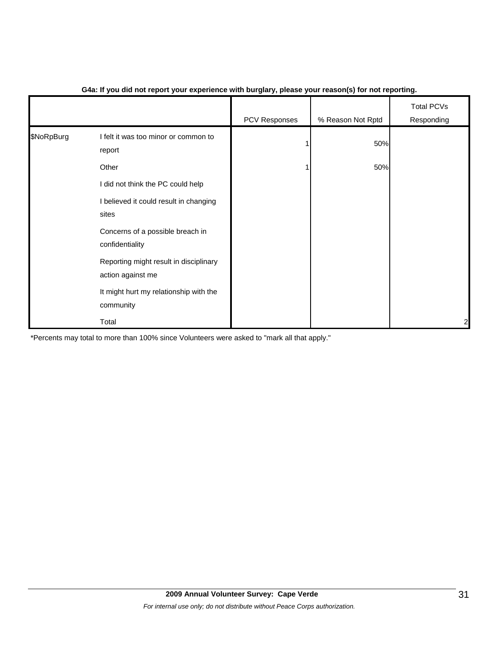|            |                                                             | PCV Responses | % Reason Not Rptd | <b>Total PCVs</b><br>Responding |
|------------|-------------------------------------------------------------|---------------|-------------------|---------------------------------|
| \$NoRpBurg | I felt it was too minor or common to<br>report              |               | 50%               |                                 |
|            | Other                                                       |               | 50%               |                                 |
|            | I did not think the PC could help                           |               |                   |                                 |
|            | I believed it could result in changing<br>sites             |               |                   |                                 |
|            | Concerns of a possible breach in<br>confidentiality         |               |                   |                                 |
|            | Reporting might result in disciplinary<br>action against me |               |                   |                                 |
|            | It might hurt my relationship with the<br>community         |               |                   |                                 |
|            | Total                                                       |               |                   | 2                               |

## **G4a: If you did not report your experience with burglary, please your reason(s) for not reporting.**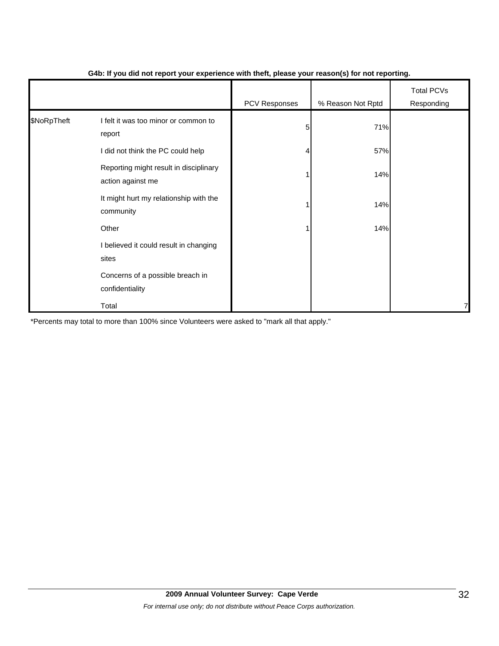|             |                                                             |               | $\mathbf{v}$      |                                 |
|-------------|-------------------------------------------------------------|---------------|-------------------|---------------------------------|
|             |                                                             | PCV Responses | % Reason Not Rptd | <b>Total PCVs</b><br>Responding |
| \$NoRpTheft | I felt it was too minor or common to<br>report              | 5             | 71%               |                                 |
|             | I did not think the PC could help                           |               | 57%               |                                 |
|             | Reporting might result in disciplinary<br>action against me |               | 14%               |                                 |
|             | It might hurt my relationship with the<br>community         |               | 14%               |                                 |
|             | Other                                                       |               | 14%               |                                 |
|             | I believed it could result in changing<br>sites             |               |                   |                                 |
|             | Concerns of a possible breach in<br>confidentiality         |               |                   |                                 |
|             | Total                                                       |               |                   | 7                               |

### **G4b: If you did not report your experience with theft, please your reason(s) for not reporting.**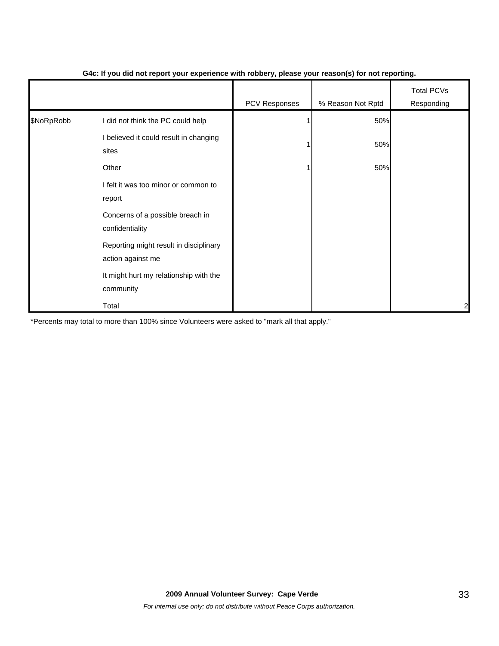|            |                                                             | PCV Responses | % Reason Not Rptd | <b>Total PCVs</b><br>Responding |
|------------|-------------------------------------------------------------|---------------|-------------------|---------------------------------|
| \$NoRpRobb | I did not think the PC could help                           |               | 50%               |                                 |
|            | I believed it could result in changing<br>sites             |               | 50%               |                                 |
|            | Other                                                       |               | 50%               |                                 |
|            | I felt it was too minor or common to<br>report              |               |                   |                                 |
|            | Concerns of a possible breach in<br>confidentiality         |               |                   |                                 |
|            | Reporting might result in disciplinary<br>action against me |               |                   |                                 |
|            | It might hurt my relationship with the<br>community         |               |                   |                                 |
|            | Total                                                       |               |                   | $\overline{a}$                  |

### **G4c: If you did not report your experience with robbery, please your reason(s) for not reporting.**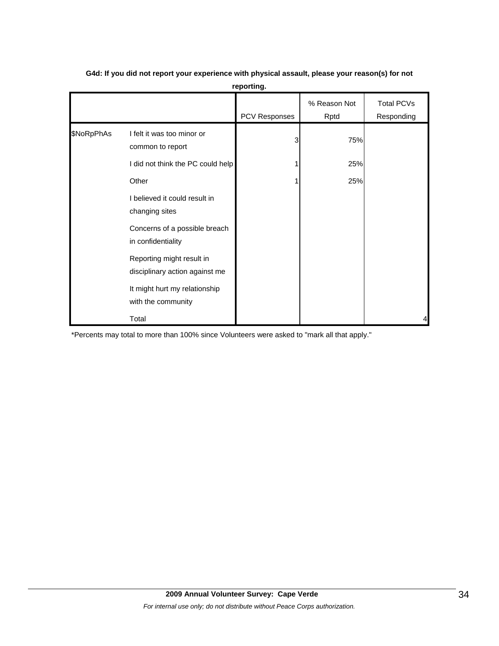|            |                                                             | PCV Responses | % Reason Not<br>Rptd | <b>Total PCVs</b><br>Responding |
|------------|-------------------------------------------------------------|---------------|----------------------|---------------------------------|
| \$NoRpPhAs | I felt it was too minor or<br>common to report              | 3             | 75%                  |                                 |
|            | I did not think the PC could help                           |               | 25%                  |                                 |
|            | Other                                                       |               | 25%                  |                                 |
|            | I believed it could result in<br>changing sites             |               |                      |                                 |
|            | Concerns of a possible breach<br>in confidentiality         |               |                      |                                 |
|            | Reporting might result in<br>disciplinary action against me |               |                      |                                 |
|            | It might hurt my relationship<br>with the community         |               |                      |                                 |
|            | Total                                                       |               |                      |                                 |

# **G4d: If you did not report your experience with physical assault, please your reason(s) for not reporting.**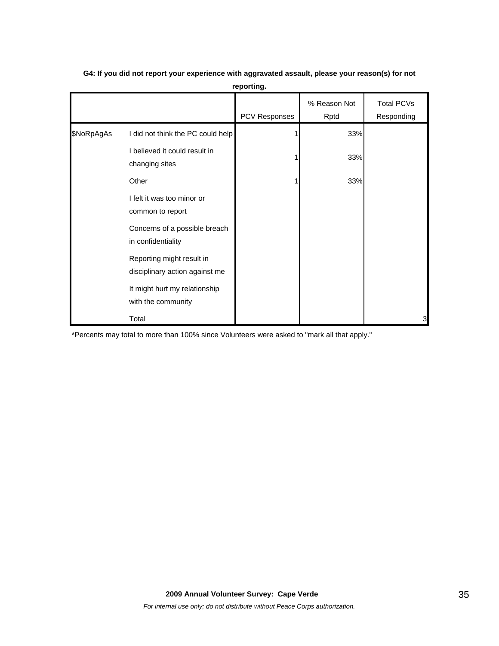|            |                                                             | <b>PCV Responses</b> | % Reason Not<br>Rptd | <b>Total PCVs</b><br>Responding |
|------------|-------------------------------------------------------------|----------------------|----------------------|---------------------------------|
| \$NoRpAgAs | I did not think the PC could help                           |                      | 33%                  |                                 |
|            | I believed it could result in<br>changing sites             |                      | 33%                  |                                 |
|            | Other                                                       |                      | 33%                  |                                 |
|            | I felt it was too minor or<br>common to report              |                      |                      |                                 |
|            | Concerns of a possible breach<br>in confidentiality         |                      |                      |                                 |
|            | Reporting might result in<br>disciplinary action against me |                      |                      |                                 |
|            | It might hurt my relationship<br>with the community         |                      |                      |                                 |
|            | Total                                                       |                      |                      | 3                               |

# **G4: If you did not report your experience with aggravated assault, please your reason(s) for not reporting.**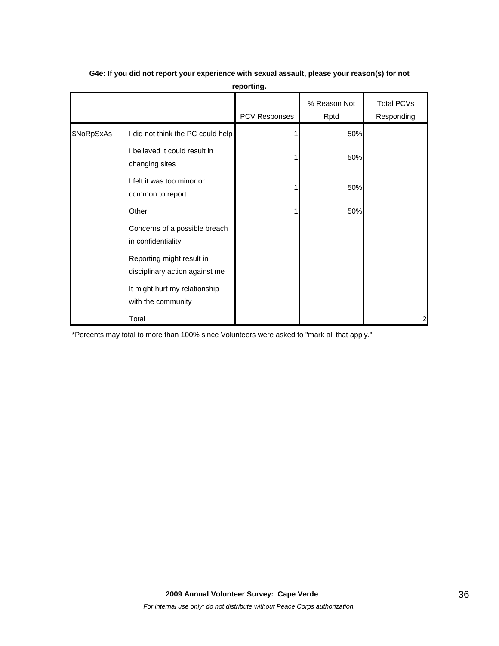|            |                                                             | <b>PCV Responses</b> | % Reason Not<br>Rptd | <b>Total PCVs</b><br>Responding |
|------------|-------------------------------------------------------------|----------------------|----------------------|---------------------------------|
| \$NoRpSxAs | I did not think the PC could help                           |                      | 50%                  |                                 |
|            | I believed it could result in<br>changing sites             |                      | 50%                  |                                 |
|            | I felt it was too minor or<br>common to report              |                      | 50%                  |                                 |
|            | Other                                                       |                      | 50%                  |                                 |
|            | Concerns of a possible breach<br>in confidentiality         |                      |                      |                                 |
|            | Reporting might result in<br>disciplinary action against me |                      |                      |                                 |
|            | It might hurt my relationship<br>with the community         |                      |                      |                                 |
|            | Total                                                       |                      |                      | 2                               |

# **G4e: If you did not report your experience with sexual assault, please your reason(s) for not reporting.**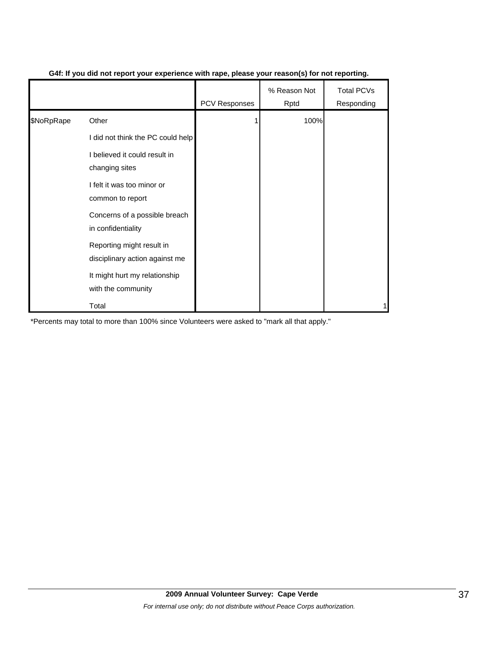|            |                                                             | <b>PCV Responses</b> | % Reason Not<br>Rptd | <b>Total PCVs</b><br>Responding |
|------------|-------------------------------------------------------------|----------------------|----------------------|---------------------------------|
| \$NoRpRape | Other                                                       |                      | 100%                 |                                 |
|            | I did not think the PC could help                           |                      |                      |                                 |
|            | I believed it could result in<br>changing sites             |                      |                      |                                 |
|            | I felt it was too minor or<br>common to report              |                      |                      |                                 |
|            | Concerns of a possible breach<br>in confidentiality         |                      |                      |                                 |
|            | Reporting might result in<br>disciplinary action against me |                      |                      |                                 |
|            | It might hurt my relationship<br>with the community         |                      |                      |                                 |
|            | Total                                                       |                      |                      |                                 |

### **G4f: If you did not report your experience with rape, please your reason(s) for not reporting.**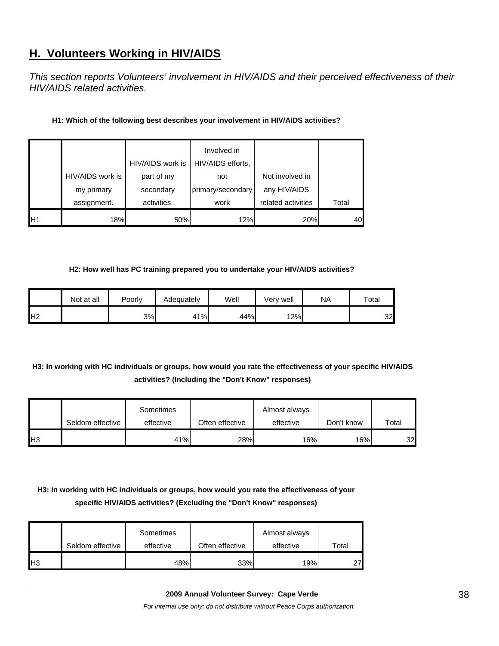# **H. Volunteers Working in HIV/AIDS**

*This section reports Volunteers' involvement in HIV/AIDS and their perceived effectiveness of their HIV/AIDS related activities.* 

| H1: Which of the following best describes your involvement in HIV/AIDS activities? |
|------------------------------------------------------------------------------------|
|------------------------------------------------------------------------------------|

|                 |                  | HIV/AIDS work is | Involved in<br>HIV/AIDS efforts, |                    |       |
|-----------------|------------------|------------------|----------------------------------|--------------------|-------|
|                 | HIV/AIDS work is | part of my       | not                              | Not involved in    |       |
|                 | my primary       | secondary        | primary/secondary                | any HIV/AIDS       |       |
|                 | assignment.      | activities.      | work                             | related activities | Total |
| IH <sub>1</sub> | 18%              | 50%              | 12%                              | 20%                | 40    |

#### **H2: How well has PC training prepared you to undertake your HIV/AIDS activities?**

|                | Not at all | Poorly | Adequately | Well | Very well | NA | Total |
|----------------|------------|--------|------------|------|-----------|----|-------|
| H <sub>2</sub> |            | 3%     | 41%        | 44%  | 12%       |    | 32    |

# **H3: In working with HC individuals or groups, how would you rate the effectiveness of your specific HIV/AIDS activities? (Including the "Don't Know" responses)**

|                | Seldom effective | Sometimes<br>effective | Often effective | Almost always<br>effective | Don't know | Total |
|----------------|------------------|------------------------|-----------------|----------------------------|------------|-------|
| H <sub>3</sub> |                  | 41%                    | 28%             | 16%                        | 16%        | 32    |

# **H3: In working with HC individuals or groups, how would you rate the effectiveness of your specific HIV/AIDS activities? (Excluding the "Don't Know" responses)**

|                | Seldom effective | Sometimes<br>effective | Often effective | Almost always<br>effective | Total           |
|----------------|------------------|------------------------|-----------------|----------------------------|-----------------|
| H <sub>3</sub> |                  | 48%                    | 33%             | 19%                        | 27 <sub>h</sub> |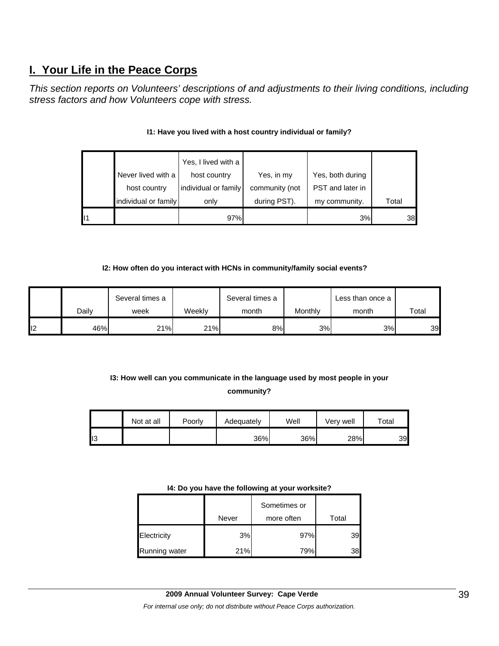# **I. Your Life in the Peace Corps**

*This section reports on Volunteers' descriptions of and adjustments to their living conditions, including stress factors and how Volunteers cope with stress.* 

|    |                      | Yes, I lived with a  |                |                  |       |
|----|----------------------|----------------------|----------------|------------------|-------|
|    | Never lived with a   | host country         | Yes, in my     | Yes, both during |       |
|    | host country         | individual or family | community (not | PST and later in |       |
|    | individual or family | only                 | during PST).   | my community.    | Total |
| 11 |                      | 97%                  |                | 3%               | 38    |

## **I1: Have you lived with a host country individual or family?**

### **I2: How often do you interact with HCNs in community/family social events?**

|    |       | Several times a |        | Several times a |         | Less than once a |       |
|----|-------|-----------------|--------|-----------------|---------|------------------|-------|
|    | Dailv | week            | Weekly | month           | Monthly | month            | Total |
| 12 | 46%   | 21%             | 21%    | 8%              | 3%      | 3%               | 39    |

# **I3: How well can you communicate in the language used by most people in your community?**

|    | Not at all | Poorly | Adequately | Well | Verv well | $\tau$ otal |
|----|------------|--------|------------|------|-----------|-------------|
| טו |            |        | 36%        | 36%  | 28%       | 39          |

#### **I4: Do you have the following at your worksite?**

|               |       | Sometimes or |       |  |
|---------------|-------|--------------|-------|--|
|               | Never | more often   | Total |  |
| Electricity   | 3%    | 97%          | 39    |  |
| Running water | 21%   | 79%          | 38    |  |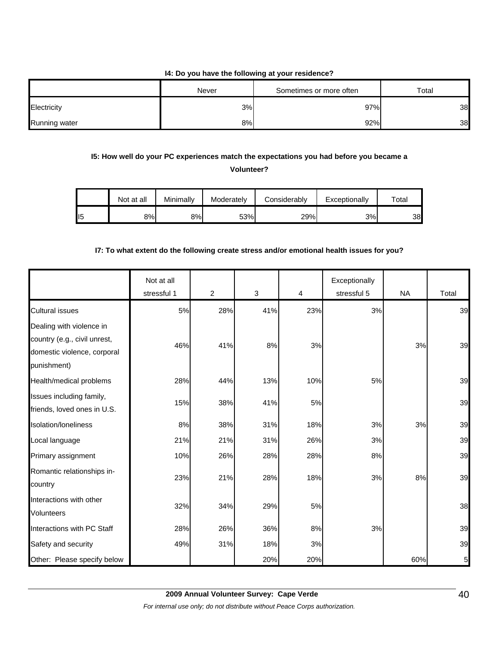### **I4: Do you have the following at your residence?**

| Never         |    | Sometimes or more often | Total |  |
|---------------|----|-------------------------|-------|--|
| Electricity   | 3% | 97%                     | 38    |  |
| Running water | 8% | 92%                     | 38    |  |

# **I5: How well do your PC experiences match the expectations you had before you became a**

**Volunteer?** 

|     | Not at all | Minimally | Moderately | Considerablv | Exceptionally | $\tau$ otai |
|-----|------------|-----------|------------|--------------|---------------|-------------|
| II5 | 8%I        | 8%        | 53%        | 29%          | 3%            | 38          |

## **I7: To what extent do the following create stress and/or emotional health issues for you?**

|                                                                                                        | Not at all<br>stressful 1 | $\overline{2}$ | 3   | 4   | Exceptionally<br>stressful 5 | <b>NA</b> | Total           |
|--------------------------------------------------------------------------------------------------------|---------------------------|----------------|-----|-----|------------------------------|-----------|-----------------|
| <b>Cultural issues</b>                                                                                 | 5%                        | 28%            | 41% | 23% | 3%                           |           | 39              |
| Dealing with violence in<br>country (e.g., civil unrest,<br>domestic violence, corporal<br>punishment) | 46%                       | 41%            | 8%  | 3%  |                              | 3%        | 39              |
| Health/medical problems                                                                                | 28%                       | 44%            | 13% | 10% | 5%                           |           | 39              |
| Issues including family,<br>friends, loved ones in U.S.                                                | 15%                       | 38%            | 41% | 5%  |                              |           | 39              |
| Isolation/Ioneliness                                                                                   | 8%                        | 38%            | 31% | 18% | 3%                           | 3%        | 39              |
| Local language                                                                                         | 21%                       | 21%            | 31% | 26% | 3%                           |           | 39              |
| Primary assignment                                                                                     | 10%                       | 26%            | 28% | 28% | 8%                           |           | 39              |
| Romantic relationships in-<br>country                                                                  | 23%                       | 21%            | 28% | 18% | 3%                           | 8%        | 39              |
| Interactions with other<br><b>Volunteers</b>                                                           | 32%                       | 34%            | 29% | 5%  |                              |           | 38              |
| Interactions with PC Staff                                                                             | 28%                       | 26%            | 36% | 8%  | 3%                           |           | 39              |
| Safety and security                                                                                    | 49%                       | 31%            | 18% | 3%  |                              |           | 39              |
| Other: Please specify below                                                                            |                           |                | 20% | 20% |                              | 60%       | $5\overline{)}$ |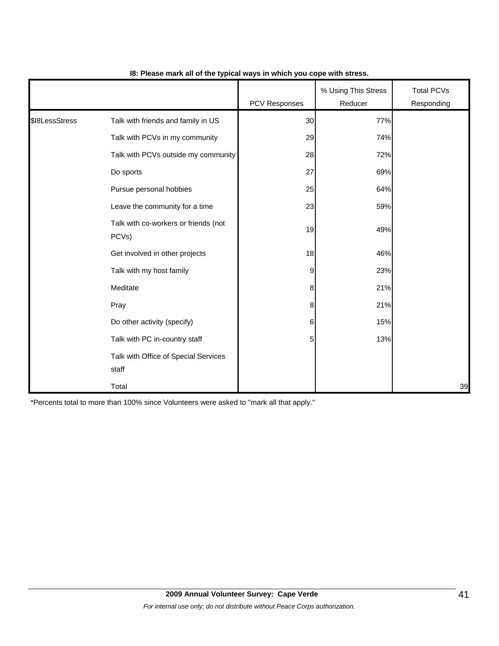|                |                                               | <b>PCV Responses</b> | % Using This Stress<br>Reducer | <b>Total PCVs</b><br>Responding |
|----------------|-----------------------------------------------|----------------------|--------------------------------|---------------------------------|
| \$18LessStress | Talk with friends and family in US            | 30                   | 77%                            |                                 |
|                | Talk with PCVs in my community                | 29                   | 74%                            |                                 |
|                | Talk with PCVs outside my community           | 28                   | 72%                            |                                 |
|                | Do sports                                     | 27                   | 69%                            |                                 |
|                | Pursue personal hobbies                       | 25                   | 64%                            |                                 |
|                | Leave the community for a time                | 23                   | 59%                            |                                 |
|                | Talk with co-workers or friends (not<br>PCVs) | 19                   | 49%                            |                                 |
|                | Get involved in other projects                | 18                   | 46%                            |                                 |
|                | Talk with my host family                      | 9                    | 23%                            |                                 |
|                | Meditate                                      | 8 <sup>8</sup>       | 21%                            |                                 |
|                | Pray                                          | 8 <sup>8</sup>       | 21%                            |                                 |
|                | Do other activity (specify)                   | $6 \overline{6}$     | 15%                            |                                 |
|                | Talk with PC in-country staff                 | 5 <sub>5</sub>       | 13%                            |                                 |
|                | Talk with Office of Special Services<br>staff |                      |                                |                                 |
|                | Total                                         |                      |                                | 39                              |

### **I8: Please mark all of the typical ways in which you cope with stress.**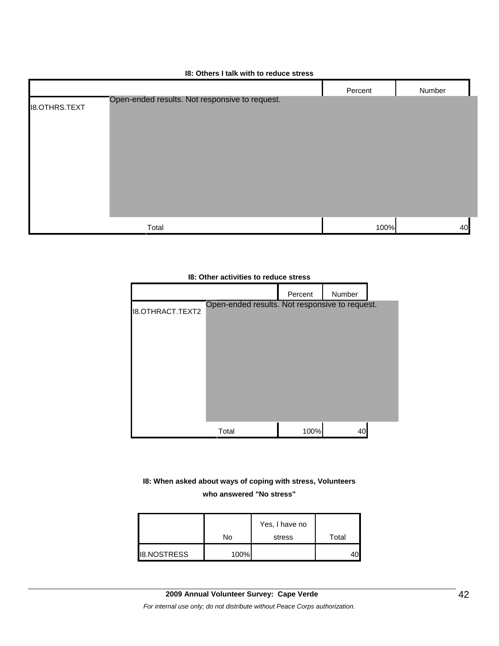| 18: Others I talk with to reduce stress |  |
|-----------------------------------------|--|
|-----------------------------------------|--|

| Percent                                                 | Number |
|---------------------------------------------------------|--------|
|                                                         |        |
|                                                         |        |
|                                                         |        |
|                                                         |        |
|                                                         |        |
|                                                         |        |
|                                                         |        |
|                                                         | 40     |
| Open-ended results. Not responsive to request.<br>Total | 100%   |

#### **I8: Other activities to reduce stress**



## **I8: When asked about ways of coping with stress, Volunteers who answered "No stress"**

|                    | No   | Yes, I have no<br>stress | Total |
|--------------------|------|--------------------------|-------|
| <b>I8.NOSTRESS</b> | 100% |                          |       |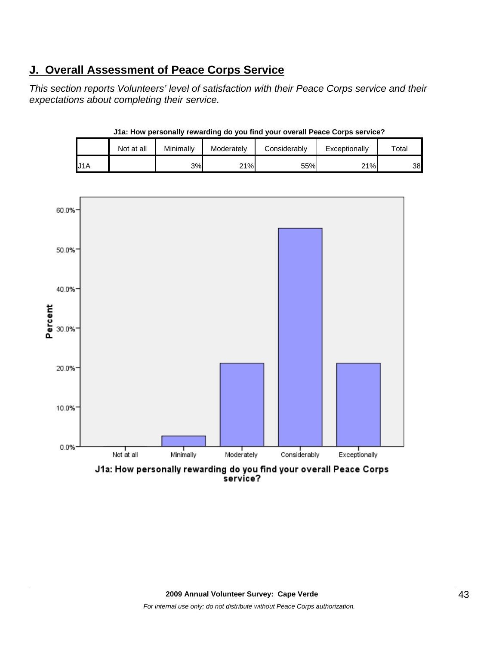# **J. Overall Assessment of Peace Corps Service**

*This section reports Volunteers' level of satisfaction with their Peace Corps service and their expectations about completing their service.* 

| J1a: How personally rewarding do you find your overall Peace Corps service? |            |           |            |              |               |       |  |  |
|-----------------------------------------------------------------------------|------------|-----------|------------|--------------|---------------|-------|--|--|
|                                                                             | Not at all | Minimally | Moderately | Considerably | Exceptionally | Total |  |  |
| J1A                                                                         |            | 3%        | 21%        | 55%          | 21%           | 38    |  |  |

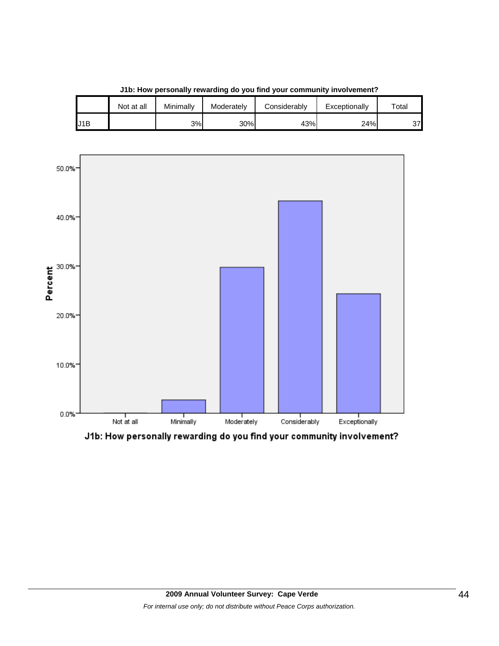

**J1b: How personally rewarding do you find your community involvement?**

J1B 3% 30% 43% 24% 37

Not at all | Minimally | Moderately | Considerably | Exceptionally | Total

J1b: How personally rewarding do you find your community involvement?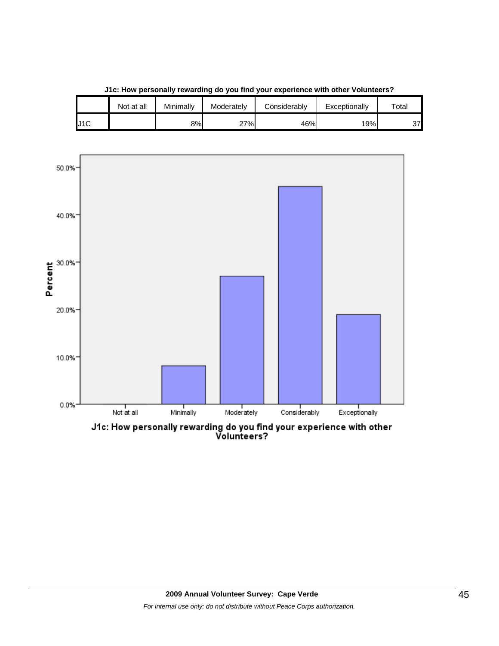

**J1c: How personally rewarding do you find your experience with other Volunteers?**

J1C 8% 27% 46% 19% 37

Not at all | Minimally | Moderately | Considerably | Exceptionally | Total

J1c: How personally rewarding do you find your experience with other<br>Volunteers?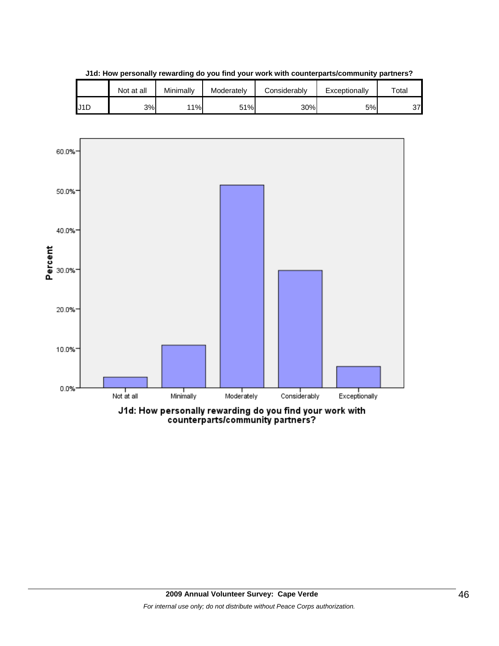

**J1d: How personally rewarding do you find your work with counterparts/community partners?**

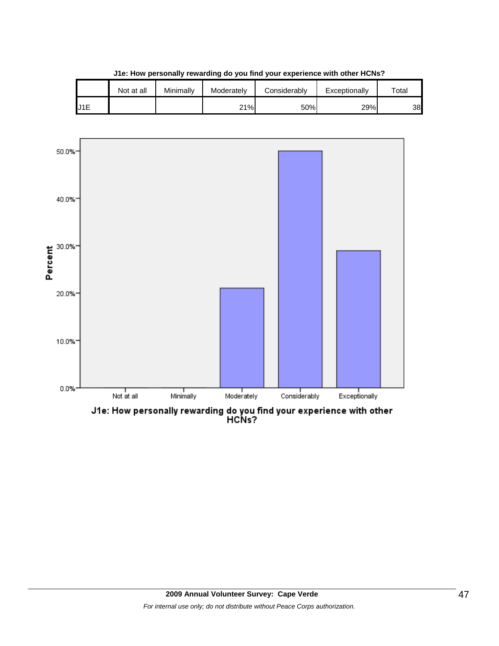|      | Not at all | Minimally | Moderately | Considerably | Exceptionally | $\tau$ otai |
|------|------------|-----------|------------|--------------|---------------|-------------|
| IJ1E |            |           | 21%        | 50%          | 29%           | 38          |

**J1e: How personally rewarding do you find your experience with other HCNs?**



J1e: How personally rewarding do you find your experience with other<br>HCNs?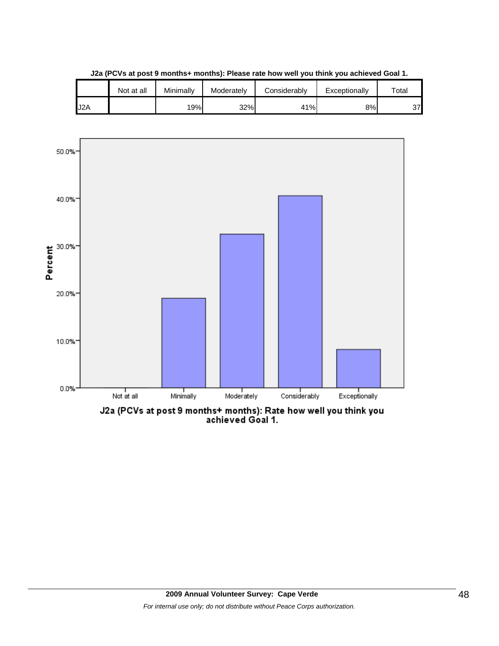|                  | Not at all | Minimally | Moderately | Considerably | Exceptionally | $\tau$ otal |
|------------------|------------|-----------|------------|--------------|---------------|-------------|
| J <sub>2</sub> A |            | 19%       | 32%        | 41%          | 8%            | 37          |

**J2a (PCVs at post 9 months+ months): Please rate how well you think you achieved Goal 1.**

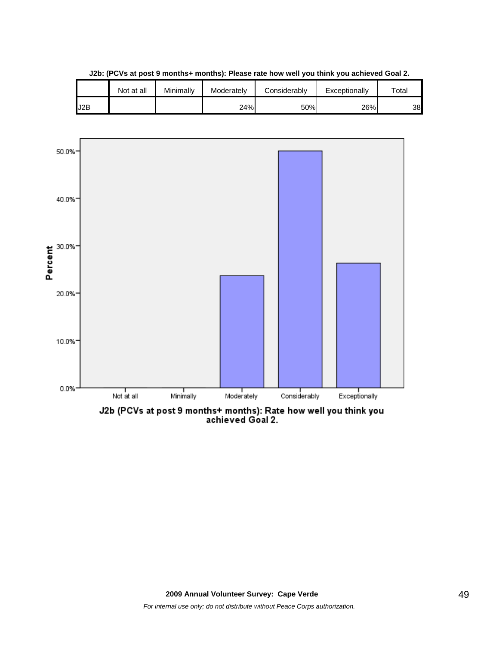|     | Not at all | Minimally | Moderately | Considerably | Exceptionally | $\tau$ otal |
|-----|------------|-----------|------------|--------------|---------------|-------------|
| J2B |            |           | 24%        | 50%          | 26%           | 38          |

**J2b: (PCVs at post 9 months+ months): Please rate how well you think you achieved Goal 2.**

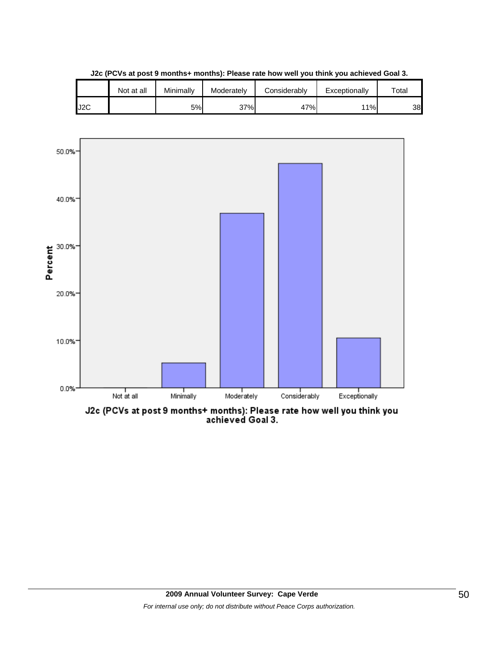

**J2c (PCVs at post 9 months+ months): Please rate how well you think you achieved Goal 3.**



J2c (PCVs at post 9 months+ months): Please rate how well you think you<br>achieved Goal 3.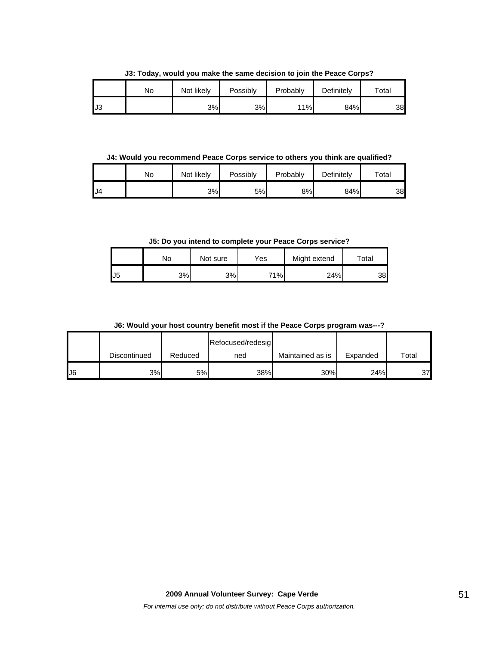**J3: Today, would you make the same decision to join the Peace Corps?**

|     | No | Not likely | Possibly | Probably | Definitely | Total |
|-----|----|------------|----------|----------|------------|-------|
| IJЗ |    | 3%         | 3%       | 11%      | 84%        | 38    |

**J4: Would you recommend Peace Corps service to others you think are qualified?**

|     | No | Not likely | Possibly | Probably | Definitely | $\tau$ otal |
|-----|----|------------|----------|----------|------------|-------------|
| IJ4 |    | 3%         | 5%       | 8%l      | 84%        | 38          |

**J5: Do you intend to complete your Peace Corps service?**

|     | No  | Not sure | Yes | Might extend | Total |
|-----|-----|----------|-----|--------------|-------|
| IJ5 | 3%l | 3%       | 71% | 24%          | 38    |

**J6: Would your host country benefit most if the Peace Corps program was---?**

|               |              |         | Refocused/redesig |                  |          |             |
|---------------|--------------|---------|-------------------|------------------|----------|-------------|
|               | Discontinued | Reduced | ned               | Maintained as is | Expanded | $\tau$ otal |
| $\mathsf{U}6$ | 3%           | 5%      | 38%               | 30%              | 24%      | 37          |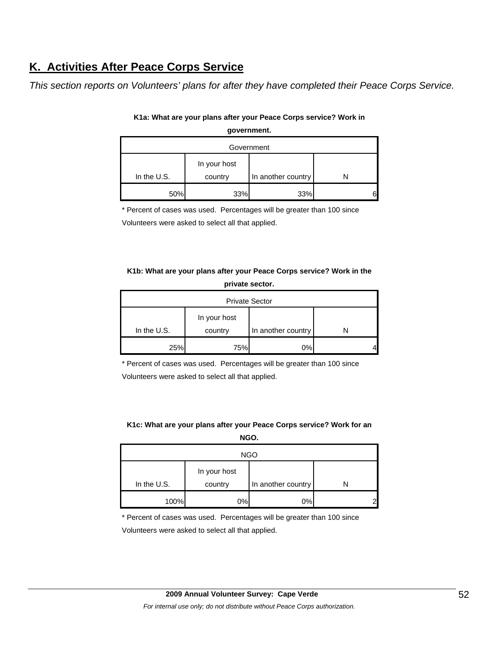# **K. Activities After Peace Corps Service**

*This section reports on Volunteers' plans for after they have completed their Peace Corps Service.* 

| Government  |              |                    |  |  |  |  |
|-------------|--------------|--------------------|--|--|--|--|
|             | In your host |                    |  |  |  |  |
| In the U.S. | country      | In another country |  |  |  |  |
| 50%         | 33%          | 33%                |  |  |  |  |

## **K1a: What are your plans after your Peace Corps service? Work in government.**

\* Percent of cases was used. Percentages will be greater than 100 since

Volunteers were asked to select all that applied.

# **K1b: What are your plans after your Peace Corps service? Work in the private sector.**

| <b>Private Sector</b> |                         |                    |  |  |  |
|-----------------------|-------------------------|--------------------|--|--|--|
| In the U.S.           | In your host<br>country | In another country |  |  |  |
|                       |                         |                    |  |  |  |
| 25%                   | 75%                     | 0%                 |  |  |  |

\* Percent of cases was used. Percentages will be greater than 100 since Volunteers were asked to select all that applied.

### **K1c: What are your plans after your Peace Corps service? Work for an NGO.**

| <b>NGO</b>  |                         |                    |  |  |  |  |
|-------------|-------------------------|--------------------|--|--|--|--|
| In the U.S. | In your host<br>country | In another country |  |  |  |  |
| 100%        | 0%                      | 0%                 |  |  |  |  |

\* Percent of cases was used. Percentages will be greater than 100 since

Volunteers were asked to select all that applied.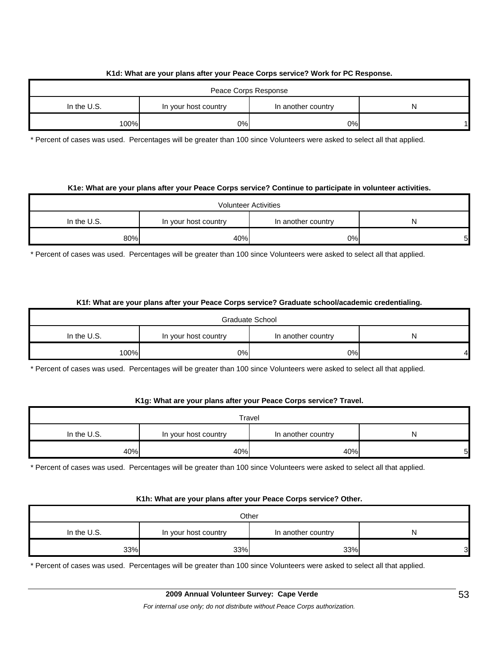### **K1d: What are your plans after your Peace Corps service? Work for PC Response.**

| Peace Corps Response |                      |                    |  |  |  |
|----------------------|----------------------|--------------------|--|--|--|
| In the $U.S.$        | In your host country | In another country |  |  |  |
| 100%                 | 0%                   | 0%                 |  |  |  |

\* Percent of cases was used. Percentages will be greater than 100 since Volunteers were asked to select all that applied.

#### **K1e: What are your plans after your Peace Corps service? Continue to participate in volunteer activities.**

| <b>Volunteer Activities</b> |                      |                    |   |  |  |
|-----------------------------|----------------------|--------------------|---|--|--|
| In the U.S.                 | In your host country | In another country |   |  |  |
| 80%                         | 40%                  | 0%                 | 5 |  |  |

\* Percent of cases was used. Percentages will be greater than 100 since Volunteers were asked to select all that applied.

#### **K1f: What are your plans after your Peace Corps service? Graduate school/academic credentialing.**

| Graduate School |                      |                    |   |  |  |
|-----------------|----------------------|--------------------|---|--|--|
| In the $U.S.$   | In your host country | In another country | N |  |  |
| 100%            | 0%                   | 0%l                |   |  |  |

\* Percent of cases was used. Percentages will be greater than 100 since Volunteers were asked to select all that applied.

#### **K1g: What are your plans after your Peace Corps service? Travel.**

| Travel                                                         |     |     |    |  |
|----------------------------------------------------------------|-----|-----|----|--|
| In the U.S.<br>In another country<br>In your host country<br>N |     |     |    |  |
| 40%                                                            | 40% | 40% | '5 |  |

\* Percent of cases was used. Percentages will be greater than 100 since Volunteers were asked to select all that applied.

#### **K1h: What are your plans after your Peace Corps service? Other.**

| Other                                                          |     |     |   |  |
|----------------------------------------------------------------|-----|-----|---|--|
| In the U.S.<br>In another country<br>In your host country<br>N |     |     |   |  |
| 33%                                                            | 33% | 33% | 3 |  |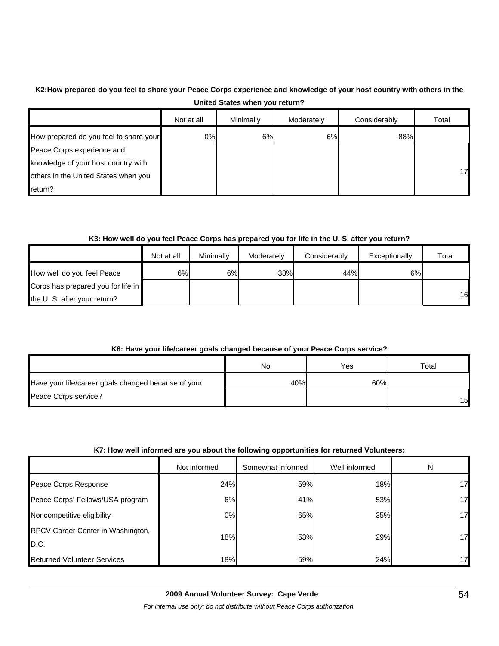# **K2:How prepared do you feel to share your Peace Corps experience and knowledge of your host country with others in the United States when you return?**

|                                        | Not at all | Minimally | Moderately | Considerably | Total |
|----------------------------------------|------------|-----------|------------|--------------|-------|
| How prepared do you feel to share your | 0%         | 6%        | 6%         | 88%          |       |
| Peace Corps experience and             |            |           |            |              |       |
| knowledge of your host country with    |            |           |            |              |       |
| others in the United States when you   |            |           |            |              | 17    |
| return?                                |            |           |            |              |       |

### **K3: How well do you feel Peace Corps has prepared you for life in the U. S. after you return?**

|                                    | Not at all | Minimally | Moderately | Considerably | Exceptionally | Total |
|------------------------------------|------------|-----------|------------|--------------|---------------|-------|
| How well do you feel Peace         | 6%I        | 6%        | 38%        | 44%          | 6%            |       |
| Corps has prepared you for life in |            |           |            |              |               |       |
| the U.S. after your return?        |            |           |            |              |               | 16    |

### **K6: Have your life/career goals changed because of your Peace Corps service?**

|                                                     | No  | Yes | $\tau$ otal     |
|-----------------------------------------------------|-----|-----|-----------------|
| Have your life/career goals changed because of your | 40% | 60% |                 |
| Peace Corps service?                                |     |     | 15 <sup>1</sup> |

#### **K7: How well informed are you about the following opportunities for returned Volunteers:**

|                                           | Not informed | Somewhat informed | Well informed | N               |
|-------------------------------------------|--------------|-------------------|---------------|-----------------|
| Peace Corps Response                      | 24%          | 59%               | 18%           | 17              |
| Peace Corps' Fellows/USA program          | 6%           | 41%               | 53%           | 17              |
| Noncompetitive eligibility                | 0%           | 65%               | 35%           | 17              |
| RPCV Career Center in Washington,<br>D.C. | 18%          | 53%               | 29%           | 17              |
| <b>Returned Volunteer Services</b>        | 18%          | 59%               | 24%           | 17 <sub>h</sub> |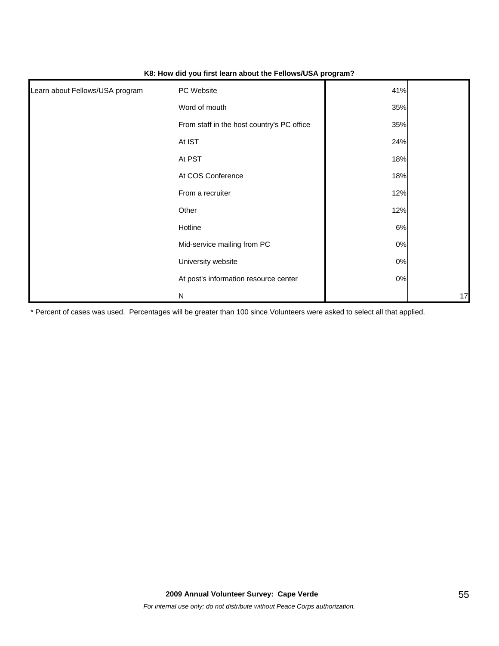| Learn about Fellows/USA program | PC Website                                 | 41%   |    |
|---------------------------------|--------------------------------------------|-------|----|
|                                 |                                            |       |    |
|                                 | Word of mouth                              | 35%   |    |
|                                 | From staff in the host country's PC office | 35%   |    |
|                                 | At IST                                     | 24%   |    |
|                                 | At PST                                     | 18%   |    |
|                                 | At COS Conference                          | 18%   |    |
|                                 | From a recruiter                           | 12%   |    |
|                                 | Other                                      | 12%   |    |
|                                 | Hotline                                    | 6%    |    |
|                                 | Mid-service mailing from PC                | $0\%$ |    |
|                                 | University website                         | $0\%$ |    |
|                                 | At post's information resource center      | $0\%$ |    |
|                                 | N                                          |       | 17 |

#### **K8: How did you first learn about the Fellows/USA program?**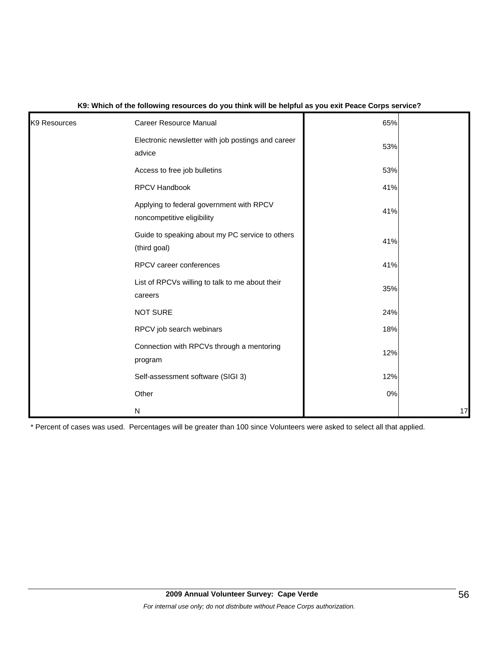| K9 Resources | <b>Career Resource Manual</b>                                          | 65% |    |
|--------------|------------------------------------------------------------------------|-----|----|
|              | Electronic newsletter with job postings and career<br>advice           | 53% |    |
|              | Access to free job bulletins                                           | 53% |    |
|              | RPCV Handbook                                                          | 41% |    |
|              | Applying to federal government with RPCV<br>noncompetitive eligibility | 41% |    |
|              | Guide to speaking about my PC service to others<br>(third goal)        | 41% |    |
|              | RPCV career conferences                                                | 41% |    |
|              | List of RPCVs willing to talk to me about their<br>careers             | 35% |    |
|              | <b>NOT SURE</b>                                                        | 24% |    |
|              | RPCV job search webinars                                               | 18% |    |
|              | Connection with RPCVs through a mentoring<br>program                   | 12% |    |
|              | Self-assessment software (SIGI 3)                                      | 12% |    |
|              | Other                                                                  | 0%  |    |
|              | N                                                                      |     | 17 |

### **K9: Which of the following resources do you think will be helpful as you exit Peace Corps service?**